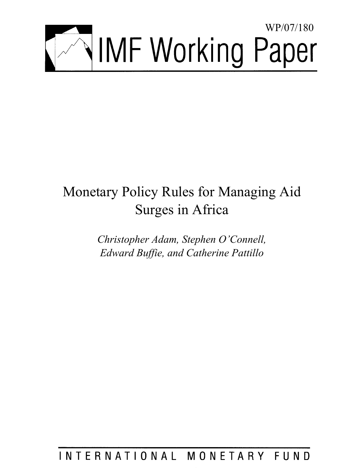

# Monetary Policy Rules for Managing Aid Surges in Africa

*Christopher Adam, Stephen O'Connell, Edward Buffie, and Catherine Pattillo* 

INTERNATIONAL MONETARY FUND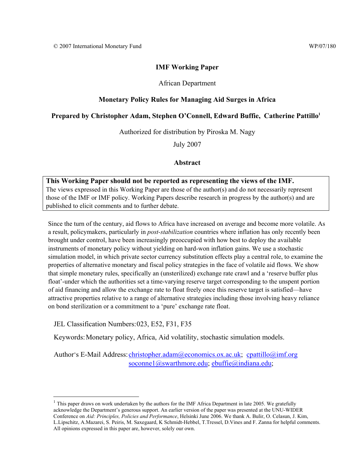## **IMF Working Paper**

## African Department

# **Monetary Policy Rules for Managing Aid Surges in Africa**

## **Prepared by Christopher Adam, Stephen O'Connell, Edward Buffie, Catherine Pattillo1**

Authorized for distribution by Piroska M. Nagy

July 2007

#### **Abstract**

# **This Working Paper should not be reported as representing the views of the IMF.**

The views expressed in this Working Paper are those of the author(s) and do not necessarily represent those of the IMF or IMF policy. Working Papers describe research in progress by the author(s) and are published to elicit comments and to further debate.

Since the turn of the century, aid flows to Africa have increased on average and become more volatile. As a result, policymakers, particularly in *post-stabilization* countries where inflation has only recently been brought under control, have been increasingly preoccupied with how best to deploy the available instruments of monetary policy without yielding on hard-won inflation gains. We use a stochastic simulation model, in which private sector currency substitution effects play a central role, to examine the properties of alternative monetary and fiscal policy strategies in the face of volatile aid flows. We show that simple monetary rules, specifically an (unsterilized) exchange rate crawl and a 'reserve buffer plus float'-under which the authorities set a time-varying reserve target corresponding to the unspent portion of aid financing and allow the exchange rate to float freely once this reserve target is satisfied—have attractive properties relative to a range of alternative strategies including those involving heavy reliance on bond sterilization or a commitment to a 'pure' exchange rate float.

JEL Classification Numbers: 023, E52, F31, F35

 $\overline{a}$ 

Keywords: Monetary policy, Africa, Aid volatility, stochastic simulation models.

Author's E-Mail Address: christopher.adam@economics.ox.ac.uk; cpattillo@imf.org soconne1@swarthmore.edu; ebuffie@indiana.edu;

<sup>&</sup>lt;sup>1</sup> This paper draws on work undertaken by the authors for the IMF Africa Department in late 2005. We gratefully acknowledge the Department's generous support. An earlier version of the paper was presented at the UNU-WIDER Conference on *Aid: Principles, Policies and Performance*, Helsinki June 2006. We thank A. Bulir, O. Celasun, J. Kim, L.Lipschitz, A.Mazarei, S. Peiris, M. Saxegaard, K Schmidt-Hebbel, T.Tressel, D.Vines and F. Zanna for helpful comments. All opinions expressed in this paper are, however, solely our own.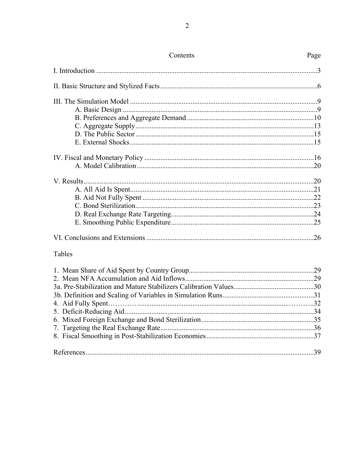| Contents | Page |
|----------|------|
|          |      |
|          |      |
|          |      |
|          |      |
|          |      |
|          |      |
|          |      |
|          |      |
|          |      |
|          |      |
|          |      |
|          |      |
|          |      |
|          |      |
|          |      |
|          |      |
|          |      |
| Tables   |      |
|          |      |
|          |      |
|          |      |
|          |      |
|          |      |
|          |      |
|          |      |
|          |      |

|--|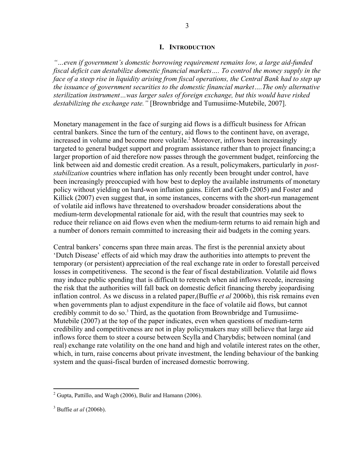#### **I. INTRODUCTION**

*"…even if government's domestic borrowing requirement remains low, a large aid-funded fiscal deficit can destabilize domestic financial markets…. To control the money supply in the face of a steep rise in liquidity arising from fiscal operations, the Central Bank had to step up the issuance of government securities to the domestic financial market….The only alternative sterilization instrument…was larger sales of foreign exchange, but this would have risked destabilizing the exchange rate."* [Brownbridge and Tumusiime-Mutebile, 2007].

Monetary management in the face of surging aid flows is a difficult business for African central bankers. Since the turn of the century, aid flows to the continent have, on average, increased in volume and become more volatile.<sup>2</sup> Moreover, inflows been increasingly targeted to general budget support and program assistance rather than to project financing; a larger proportion of aid therefore now passes through the government budget, reinforcing the link between aid and domestic credit creation. As a result, policymakers, particularly in *poststabilization* countries where inflation has only recently been brought under control, have been increasingly preoccupied with how best to deploy the available instruments of monetary policy without yielding on hard-won inflation gains. Eifert and Gelb (2005) and Foster and Killick (2007) even suggest that, in some instances, concerns with the short-run management of volatile aid inflows have threatened to overshadow broader considerations about the medium-term developmental rationale for aid, with the result that countries may seek to reduce their reliance on aid flows even when the medium-term returns to aid remain high and a number of donors remain committed to increasing their aid budgets in the coming years.

Central bankers' concerns span three main areas. The first is the perennial anxiety about 'Dutch Disease' effects of aid which may draw the authorities into attempts to prevent the temporary (or persistent) appreciation of the real exchange rate in order to forestall perceived losses in competitiveness. The second is the fear of fiscal destabilization. Volatile aid flows may induce public spending that is difficult to retrench when aid inflows recede, increasing the risk that the authorities will fall back on domestic deficit financing thereby jeopardising inflation control. As we discuss in a related paper,(Buffie *et al* 2006b), this risk remains even when governments plan to adjust expenditure in the face of volatile aid flows, but cannot credibly commit to do so. $3$  Third, as the quotation from Brownbridge and Tumusiime-Mutebile (2007) at the top of the paper indicates, even when questions of medium-term credibility and competitiveness are not in play policymakers may still believe that large aid inflows force them to steer a course between Scylla and Charybdis; between nominal (and real) exchange rate volatility on the one hand and high and volatile interest rates on the other, which, in turn, raise concerns about private investment, the lending behaviour of the banking system and the quasi-fiscal burden of increased domestic borrowing.

<sup>&</sup>lt;sup>2</sup> Gupta, Pattillo, and Wagh (2006), Bulir and Hamann (2006).

<sup>3</sup> Buffie *at al* (2006b).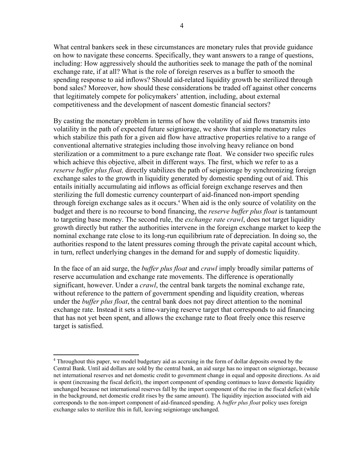What central bankers seek in these circumstances are monetary rules that provide guidance on how to navigate these concerns. Specifically, they want answers to a range of questions, including: How aggressively should the authorities seek to manage the path of the nominal exchange rate, if at all? What is the role of foreign reserves as a buffer to smooth the spending response to aid inflows? Should aid-related liquidity growth be sterilized through bond sales? Moreover, how should these considerations be traded off against other concerns that legitimately compete for policymakers' attention, including, about external competitiveness and the development of nascent domestic financial sectors?

By casting the monetary problem in terms of how the volatility of aid flows transmits into volatility in the path of expected future seigniorage, we show that simple monetary rules which stabilize this path for a given aid flow have attractive properties relative to a range of conventional alternative strategies including those involving heavy reliance on bond sterilization or a commitment to a pure exchange rate float. We consider two specific rules which achieve this objective, albeit in different ways. The first, which we refer to as a *reserve buffer plus float,* directly stabilizes the path of seigniorage by synchronizing foreign exchange sales to the growth in liquidity generated by domestic spending out of aid. This entails initially accumulating aid inflows as official foreign exchange reserves and then sterilizing the full domestic currency counterpart of aid-financed non-import spending through foreign exchange sales as it occurs.<sup>4</sup> When aid is the only source of volatility on the budget and there is no recourse to bond financing, the *reserve buffer plus float* is tantamount to targeting base money. The second rule, the *exchange rate crawl*, does not target liquidity growth directly but rather the authorities intervene in the foreign exchange market to keep the nominal exchange rate close to its long-run equilibrium rate of depreciation. In doing so, the authorities respond to the latent pressures coming through the private capital account which, in turn, reflect underlying changes in the demand for and supply of domestic liquidity.

In the face of an aid surge, the *buffer plus float* and *crawl* imply broadly similar patterns of reserve accumulation and exchange rate movements. The difference is operationally significant, however. Under a *crawl*, the central bank targets the nominal exchange rate, without reference to the pattern of government spending and liquidity creation, whereas under the *buffer plus float*, the central bank does not pay direct attention to the nominal exchange rate. Instead it sets a time-varying reserve target that corresponds to aid financing that has not yet been spent, and allows the exchange rate to float freely once this reserve target is satisfied.

 $\overline{a}$ 

<sup>&</sup>lt;sup>4</sup> Throughout this paper, we model budgetary aid as accruing in the form of dollar deposits owned by the Central Bank. Until aid dollars are sold by the central bank, an aid surge has no impact on seigniorage, because net international reserves and net domestic credit to government change in equal and opposite directions. As aid is spent (increasing the fiscal deficit), the import component of spending continues to leave domestic liquidity unchanged because net international reserves fall by the import component of the rise in the fiscal deficit (while in the background, net domestic credit rises by the same amount). The liquidity injection associated with aid corresponds to the non-import component of aid-financed spending. A *buffer plus float* policy uses foreign exchange sales to sterilize this in full, leaving seigniorage unchanged.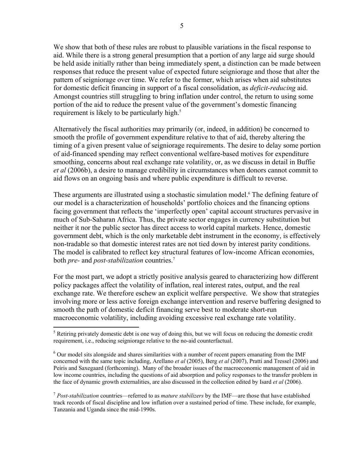We show that both of these rules are robust to plausible variations in the fiscal response to aid. While there is a strong general presumption that a portion of any large aid surge should be held aside initially rather than being immediately spent, a distinction can be made between responses that reduce the present value of expected future seigniorage and those that alter the pattern of seigniorage over time. We refer to the former, which arises when aid substitutes for domestic deficit financing in support of a fiscal consolidation, as *deficit-reducing* aid. Amongst countries still struggling to bring inflation under control, the return to using some portion of the aid to reduce the present value of the government's domestic financing requirement is likely to be particularly high.<sup>5</sup>

Alternatively the fiscal authorities may primarily (or, indeed, in addition) be concerned to smooth the profile of government expenditure relative to that of aid, thereby altering the timing of a given present value of seigniorage requirements. The desire to delay some portion of aid-financed spending may reflect conventional welfare-based motives for expenditure smoothing, concerns about real exchange rate volatility, or, as we discuss in detail in Buffie *et al* (2006b), a desire to manage credibility in circumstances when donors cannot commit to aid flows on an ongoing basis and where public expenditure is difficult to reverse.

These arguments are illustrated using a stochastic simulation model.<sup>6</sup> The defining feature of our model is a characterization of households' portfolio choices and the financing options facing government that reflects the 'imperfectly open' capital account structures pervasive in much of Sub-Saharan Africa. Thus, the private sector engages in currency substitution but neither it nor the public sector has direct access to world capital markets. Hence, domestic government debt, which is the only marketable debt instrument in the economy, is effectively non-tradable so that domestic interest rates are not tied down by interest parity conditions. The model is calibrated to reflect key structural features of low-income African economies, both *pre-* and *post-stabilization* countries.7

For the most part, we adopt a strictly positive analysis geared to characterizing how different policy packages affect the volatility of inflation, real interest rates, output, and the real exchange rate. We therefore eschew an explicit welfare perspective. We show that strategies involving more or less active foreign exchange intervention and reserve buffering designed to smooth the path of domestic deficit financing serve best to moderate short-run macroeconomic volatility, including avoiding excessive real exchange rate volatility.

<sup>7</sup> *Post-stabilization* countries—referred to as *mature stabilizers* by the IMF—are those that have established track records of fiscal discipline and low inflation over a sustained period of time. These include, for example, Tanzania and Uganda since the mid-1990s.

 $\overline{a}$ <sup>5</sup> Retiring privately domestic debt is one way of doing this, but we will focus on reducing the domestic credit requirement, i.e., reducing seigniorage relative to the no-aid counterfactual.

<sup>&</sup>lt;sup>6</sup> Our model sits alongside and shares similarities with a number of recent papers emanating from the IMF concerned with the same topic including, Arellano *et al* (2005), Berg *et al* (2007), Pratti and Tressel (2006) and Peiris and Saxegaard (forthcoming). Many of the broader issues of the macroeconomic management of aid in low income countries, including the questions of aid absorption and policy responses to the transfer problem in the face of dynamic growth externalities, are also discussed in the collection edited by Isard *et al* (2006).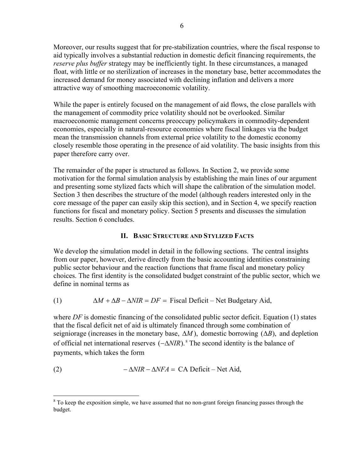Moreover, our results suggest that for pre-stabilization countries, where the fiscal response to aid typically involves a substantial reduction in domestic deficit financing requirements, the *reserve plus buffer* strategy may be inefficiently tight. In these circumstances, a managed float, with little or no sterilization of increases in the monetary base, better accommodates the increased demand for money associated with declining inflation and delivers a more attractive way of smoothing macroeconomic volatility.

While the paper is entirely focused on the management of aid flows, the close parallels with the management of commodity price volatility should not be overlooked. Similar macroeconomic management concerns preoccupy policymakers in commodity-dependent economies, especially in natural-resource economies where fiscal linkages via the budget mean the transmission channels from external price volatility to the domestic economy closely resemble those operating in the presence of aid volatility. The basic insights from this paper therefore carry over.

The remainder of the paper is structured as follows. In Section 2, we provide some motivation for the formal simulation analysis by establishing the main lines of our argument and presenting some stylized facts which will shape the calibration of the simulation model. Section 3 then describes the structure of the model (although readers interested only in the core message of the paper can easily skip this section), and in Section 4, we specify reaction functions for fiscal and monetary policy. Section 5 presents and discusses the simulation results. Section 6 concludes.

#### **II. BASIC STRUCTURE AND STYLIZED FACTS**

We develop the simulation model in detail in the following sections. The central insights from our paper, however, derive directly from the basic accounting identities constraining public sector behaviour and the reaction functions that frame fiscal and monetary policy choices. The first identity is the consolidated budget constraint of the public sector, which we define in nominal terms as

(1) 
$$
\Delta M + \Delta B - \Delta NIR = DF = \text{F} \cdot \text{N} \cdot \text{N} \cdot \text{N} \cdot \text{N} \cdot \text{N} \cdot \text{N} \cdot \text{N} \cdot \text{N} \cdot \text{N} \cdot \text{N} \cdot \text{N} \cdot \text{N} \cdot \text{N} \cdot \text{N} \cdot \text{N} \cdot \text{N} \cdot \text{N} \cdot \text{N} \cdot \text{N} \cdot \text{N} \cdot \text{N} \cdot \text{N} \cdot \text{N} \cdot \text{N} \cdot \text{N} \cdot \text{N} \cdot \text{N} \cdot \text{N} \cdot \text{N} \cdot \text{N} \cdot \text{N} \cdot \text{N} \cdot \text{N} \cdot \text{N} \cdot \text{N} \cdot \text{N} \cdot \text{N} \cdot \text{N} \cdot \text{N} \cdot \text{N} \cdot \text{N} \cdot \text{N} \cdot \text{N} \cdot \text{N} \cdot \text{N} \cdot \text{N} \cdot \text{N} \cdot \text{N} \cdot \text{N} \cdot \text{N} \cdot \text{N} \cdot \text{N} \cdot \text{N} \cdot \text{N} \cdot \text{N} \cdot \text{N} \cdot \text{N} \cdot \text{N} \cdot \text{N} \cdot \text{N} \cdot \text{N} \cdot \text{N} \cdot \text{N} \cdot \text{N} \cdot \text{N} \cdot \text{N} \cdot \text{N} \cdot \text{N} \cdot \text{N} \cdot \text{N} \cdot \text{N} \cdot \text{N} \cdot \text{N} \cdot \text{N} \cdot \text{N} \cdot \text{N} \cdot \text{N} \cdot \text{N} \cdot \text{N} \cdot \text{N} \cdot \text{N} \cdot \text{N} \cdot \text{N} \cdot \text{N} \cdot \text{N} \cdot \text{N} \cdot \text{N} \cdot \text{N} \cdot \text{N} \cdot \text{N} \cdot \text{N} \cdot \text{N} \cdot \text{N} \cdot \text{N} \cdot \text{N} \cdot \text{N} \cdot \text{N} \cdot \text{N} \cdot \text{N} \cdot \text{N} \cdot \text{N} \cdot \text{N} \cdot \text{N} \cdot \text{N} \cdot \text{N} \cdot
$$

where *DF* is domestic financing of the consolidated public sector deficit. Equation (1) states that the fiscal deficit net of aid is ultimately financed through some combination of seigniorage (increases in the monetary base,  $\Delta M$ ), domestic borrowing ( $\Delta B$ ), and depletion of official net international reserves  $(-\Delta NIR)$ .<sup>8</sup> The second identity is the balance of payments, which takes the form

(2) 
$$
-\Delta NIR - \Delta NFA = CA Deficit - Net Aid,
$$

 $\overline{a}$ 

<sup>&</sup>lt;sup>8</sup> To keep the exposition simple, we have assumed that no non-grant foreign financing passes through the budget.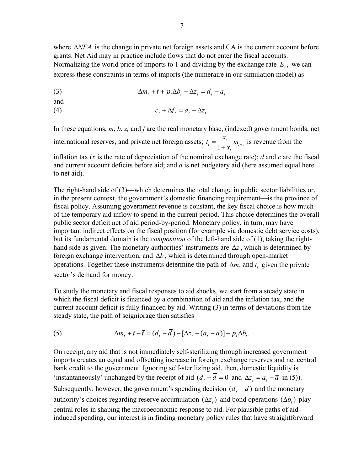where Δ*NFA* is the change in private net foreign assets and CA is the current account before grants. Net Aid may in practice include flows that do not enter the fiscal accounts. Normalizing the world price of imports to 1 and dividing by the exchange rate  $E_t$ , we can express these constraints in terms of imports (the numeraire in our simulation model) as

(3) 
$$
\Delta m_t + t + p_t \Delta b_t - \Delta z_t = d_t - a_t
$$

and

$$
c_t + \Delta f_t = a_t - \Delta z_t.
$$

In these equations, *m*, *b*, *z,* and *f* are the real monetary base, (indexed) government bonds, net international reserves, and private net foreign assets;  $t_t = \frac{x_t}{1 + x_t} m_{t-1}$ *t*  $t_i = \frac{x_i}{1 + x_i} m_{i-1}$  is revenue from the

inflation tax (*x* is the rate of depreciation of the nominal exchange rate); *d* and *c* are the fiscal and current account deficits before aid; and *a* is net budgetary aid (here assumed equal here to net aid).

The right-hand side of (3)—which determines the total change in public sector liabilities or, in the present context, the government's domestic financing requirement—is the province of fiscal policy. Assuming government revenue is constant, the key fiscal choice is how much of the temporary aid inflow to spend in the current period. This choice determines the overall public sector deficit net of aid period-by-period. Monetary policy, in turn, may have important indirect effects on the fiscal position (for example via domestic debt service costs), but its fundamental domain is the *composition* of the left-hand side of (1), taking the righthand side as given. The monetary authorities' instruments are  $\Delta z$ , which is determined by foreign exchange intervention, and  $\Delta b$ , which is determined through open-market operations. Together these instruments determine the path of  $\Delta m$ , and  $t$ , given the private sector's demand for money.

To study the monetary and fiscal responses to aid shocks, we start from a steady state in which the fiscal deficit is financed by a combination of aid and the inflation tax, and the current account deficit is fully financed by aid. Writing (3) in terms of deviations from the steady state, the path of seigniorage then satisfies

(5) 
$$
\Delta m_t + t - \overline{t} = (d_t - \overline{d}) - [\Delta z_t - (a_t - \overline{a})] - p_t \Delta b_t.
$$

On receipt, any aid that is not immediately self-sterilizing through increased government imports creates an equal and offsetting increase in foreign exchange reserves and net central bank credit to the government. Ignoring self-sterilizing aid, then, domestic liquidity is 'instantaneously' unchanged by the receipt of aid  $(d<sub>r</sub> - \overline{d} = 0$  and  $\Delta z<sub>r</sub> = a<sub>r</sub> - \overline{a}$  in (5)). Subsequently, however, the government's spending decision  $(d_t - \overline{d})$  and the monetary authority's choices regarding reserve accumulation  $( \Delta z_i )$  and bond operations  $( \Delta b_i )$  play central roles in shaping the macroeconomic response to aid. For plausible paths of aidinduced spending, our interest is in finding monetary policy rules that have straightforward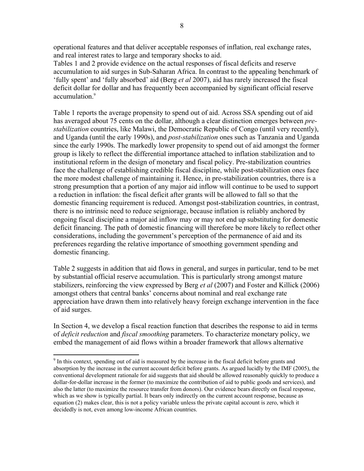operational features and that deliver acceptable responses of inflation, real exchange rates, and real interest rates to large and temporary shocks to aid.

Tables 1 and 2 provide evidence on the actual responses of fiscal deficits and reserve accumulation to aid surges in Sub-Saharan Africa. In contrast to the appealing benchmark of 'fully spent' and 'fully absorbed' aid (Berg *et al* 2007), aid has rarely increased the fiscal deficit dollar for dollar and has frequently been accompanied by significant official reserve accumulation.<sup>9</sup>

Table 1 reports the average propensity to spend out of aid. Across SSA spending out of aid has averaged about 75 cents on the dollar, although a clear distinction emerges between *prestabilization* countries, like Malawi, the Democratic Republic of Congo (until very recently), and Uganda (until the early 1990s), and *post-stabilization* ones such as Tanzania and Uganda since the early 1990s. The markedly lower propensity to spend out of aid amongst the former group is likely to reflect the differential importance attached to inflation stabilization and to institutional reform in the design of monetary and fiscal policy. Pre-stabilization countries face the challenge of establishing credible fiscal discipline, while post-stabilization ones face the more modest challenge of maintaining it. Hence, in pre-stabilization countries, there is a strong presumption that a portion of any major aid inflow will continue to be used to support a reduction in inflation: the fiscal deficit after grants will be allowed to fall so that the domestic financing requirement is reduced. Amongst post-stabilization countries, in contrast, there is no intrinsic need to reduce seigniorage, because inflation is reliably anchored by ongoing fiscal discipline a major aid inflow may or may not end up substituting for domestic deficit financing. The path of domestic financing will therefore be more likely to reflect other considerations, including the government's perception of the permanence of aid and its preferences regarding the relative importance of smoothing government spending and domestic financing.

Table 2 suggests in addition that aid flows in general, and surges in particular, tend to be met by substantial official reserve accumulation. This is particularly strong amongst mature stabilizers, reinforcing the view expressed by Berg *et al* (2007) and Foster and Killick (2006) amongst others that central banks' concerns about nominal and real exchange rate appreciation have drawn them into relatively heavy foreign exchange intervention in the face of aid surges.

In Section 4, we develop a fiscal reaction function that describes the response to aid in terms of *deficit reduction* and *fiscal smoothing* parameters. To characterize monetary policy, we embed the management of aid flows within a broader framework that allows alternative

1

<sup>&</sup>lt;sup>9</sup> In this context, spending out of aid is measured by the increase in the fiscal deficit before grants and absorption by the increase in the current account deficit before grants. As argued lucidly by the IMF (2005), the conventional development rationale for aid suggests that aid should be allowed reasonably quickly to produce a dollar-for-dollar increase in the former (to maximize the contribution of aid to public goods and services), and also the latter (to maximize the resource transfer from donors). Our evidence bears directly on fiscal response, which as we show is typically partial. It bears only indirectly on the current account response, because as equation (2) makes clear, this is not a policy variable unless the private capital account is zero, which it decidedly is not, even among low-income African countries.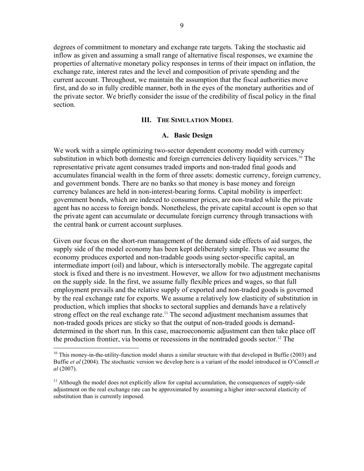degrees of commitment to monetary and exchange rate targets. Taking the stochastic aid inflow as given and assuming a small range of alternative fiscal responses, we examine the properties of alternative monetary policy responses in terms of their impact on inflation, the exchange rate, interest rates and the level and composition of private spending and the current account. Throughout, we maintain the assumption that the fiscal authorities move first, and do so in fully credible manner, both in the eyes of the monetary authorities and of the private sector. We briefly consider the issue of the credibility of fiscal policy in the final section.

#### **III. THE SIMULATION MODEL**

#### **A. Basic Design**

We work with a simple optimizing two-sector dependent economy model with currency substitution in which both domestic and foreign currencies delivery liquidity services.<sup>10</sup> The representative private agent consumes traded imports and non-traded final goods and accumulates financial wealth in the form of three assets: domestic currency, foreign currency, and government bonds. There are no banks so that money is base money and foreign currency balances are held in non-interest-bearing forms. Capital mobility is imperfect: government bonds, which are indexed to consumer prices, are non-traded while the private agent has no access to foreign bonds. Nonetheless, the private capital account is open so that the private agent can accumulate or decumulate foreign currency through transactions with the central bank or current account surpluses.

Given our focus on the short-run management of the demand side effects of aid surges, the supply side of the model economy has been kept deliberately simple. Thus we assume the economy produces exported and non-tradable goods using sector-specific capital, an intermediate import (oil) and labour, which is intersectorally mobile. The aggregate capital stock is fixed and there is no investment. However, we allow for two adjustment mechanisms on the supply side. In the first, we assume fully flexible prices and wages, so that full employment prevails and the relative supply of exported and non-traded goods is governed by the real exchange rate for exports. We assume a relatively low elasticity of substitution in production, which implies that shocks to sectoral supplies and demands have a relatively strong effect on the real exchange rate.<sup>11</sup> The second adjustment mechanism assumes that non-traded goods prices are sticky so that the output of non-traded goods is demanddetermined in the short run. In this case, macroeconomic adjustment can then take place off the production frontier, via booms or recessions in the nontraded goods sector.<sup>12</sup> The

 $\overline{a}$ 

 $10$  This money-in-the-utility-function model shares a similar structure with that developed in Buffie (2003) and Buffie *et al* (2004). The stochastic version we develop here is a variant of the model introduced in O'Connell *et al* (2007).

 $11$  Although the model does not explicitly allow for capital accumulation, the consequences of supply-side adjustment on the real exchange rate can be approximated by assuming a higher inter-sectoral elasticity of substitution than is currently imposed.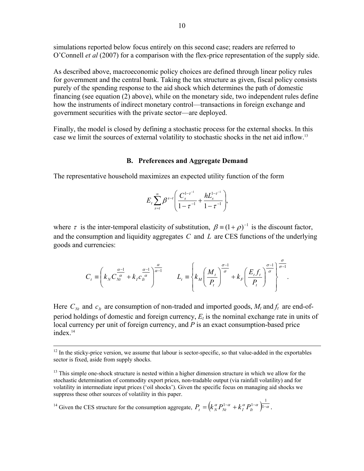simulations reported below focus entirely on this second case; readers are referred to O'Connell *et al* (2007) for a comparison with the flex-price representation of the supply side.

As described above, macroeconomic policy choices are defined through linear policy rules for government and the central bank. Taking the tax structure as given, fiscal policy consists purely of the spending response to the aid shock which determines the path of domestic financing (see equation (2) above), while on the monetary side, two independent rules define how the instruments of indirect monetary control—transactions in foreign exchange and government securities with the private sector—are deployed.

Finally, the model is closed by defining a stochastic process for the external shocks. In this case we limit the sources of external volatility to stochastic shocks in the net aid inflow.13

## **B. Preferences and Aggregate Demand**

The representative household maximizes an expected utility function of the form

$$
E_t \sum_{s=t}^{\infty} \beta^{s-t} \left( \frac{C_s^{1-\tau^{-1}}}{1-\tau^{-1}} + \frac{hL_s^{1-\tau^{-1}}}{1-\tau^{-1}} \right),
$$

where  $\tau$  is the inter-temporal elasticity of substitution,  $\beta = (1 + \rho)^{-1}$  is the discount factor, and the consumption and liquidity aggregates *C* and *L* are CES functions of the underlying goods and currencies:

$$
C_t \equiv \left(k_N C_{Nt}^{\frac{\alpha-1}{\alpha}} + k_I C_{lt}^{\frac{\alpha-1}{\alpha}}\right)^{\frac{\alpha}{\alpha-1}} \qquad L_t \equiv \left\{k_M \left(\frac{M_t}{P_t}\right)^{\frac{\sigma-1}{\sigma}} + k_F \left(\frac{E_t f_t}{P_t}\right)^{\frac{\sigma-1}{\sigma}}\right\}^{\frac{\sigma}{\sigma-1}}.
$$

Here  $C_N$  and  $c_k$  are consumption of non-traded and imported goods,  $M_t$  and  $f_t$  are end-ofperiod holdings of domestic and foreign currency, *Et* is the nominal exchange rate in units of local currency per unit of foreign currency, and *P* is an exact consumption-based price index.<sup>14</sup>

 $13$  This simple one-shock structure is nested within a higher dimension structure in which we allow for the stochastic determination of commodity export prices, non-tradable output (via rainfall volatility) and for volatility in intermediate input prices ('oil shocks'). Given the specific focus on managing aid shocks we suppress these other sources of volatility in this paper.

<sup>14</sup> Given the CES structure for the consumption aggregate,  $P_t = (k_N^{\alpha} P_N^{1-\alpha} + k_I^{\alpha} P_H^{1-\alpha})^{1-\alpha}$ .  $P_{t}=\left(k_{N}^{\alpha}P_{Nt}^{1-\alpha}+k_{I}^{\alpha}P_{It}^{1-\alpha}\right)^{\frac{1}{1-\alpha}}$ 

 $12$  In the sticky-price version, we assume that labour is sector-specific, so that value-added in the exportables sector is fixed, aside from supply shocks.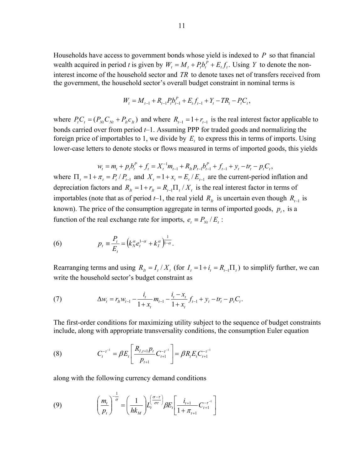Households have access to government bonds whose yield is indexed to *P* so that financial wealth acquired in period *t* is given by  $W_t = M_t + P_t b_t^P + E_t f_t$ . Using *Y* to denote the noninterest income of the household sector and *TR* to denote taxes net of transfers received from the government, the household sector's overall budget constraint in nominal terms is

$$
W_{t} = M_{t-1} + R_{t-1}P_{t}b_{t-1}^{P} + E_{t}f_{t-1} + Y_{t} - TR_{t} - P_{t}C_{t},
$$

where  $P_t C_t = (P_{Nt} C_{Nt} + P_{n} C_{t})$  and where  $R_{t-1} = 1 + r_{t-1}$  is the real interest factor applicable to bonds carried over from period *t*–1. Assuming PPP for traded goods and normalizing the foreign price of importables to 1, we divide by  $E_t$ , to express this in terms of imports. Using lower-case letters to denote stocks or flows measured in terms of imported goods, this yields

$$
w_{t} = m_{t} + p_{t}b_{t}^{P} + f_{t} = X_{t}^{-1}m_{t-1} + R_{lt}p_{t-1}b_{t-1}^{P} + f_{t-1} + y_{t} - tr_{t} - p_{t}C_{t},
$$

where  $\Pi_t = 1 + \pi_t = P_t / P_{t-1}$  and  $X_t = 1 + x_t = E_t / E_{t-1}$  are the current-period inflation and depreciation factors and  $R_{lt} = 1 + r_{lt} = R_{lt-1} \prod_{t} / X_{lt}$  is the real interest factor in terms of importables (note that as of period *t*−1, the real yield  $R<sub>h</sub>$  is uncertain even though  $R<sub>t-1</sub>$  is known). The price of the consumption aggregate in terms of imported goods,  $p_t$ , is a function of the real exchange rate for imports,  $e_t = P_{Nt} / E_t$ :

(6) 
$$
p_{t} = \frac{P_{t}}{E_{t}} = (k_{N}^{\alpha}e_{t}^{1-\alpha} + k_{I}^{\alpha})^{\frac{1}{1-\alpha}}.
$$

Rearranging terms and using  $R_i = I_i / X_i$  (for  $I_i = 1 + i_i = R_{i-1} \Pi_i$ ) to simplify further, we can write the household sector's budget constraint as

(7) 
$$
\Delta w_t = r_{lt} w_{t-1} - \frac{i_t}{1 + x_t} m_{t-1} - \frac{i_t - x_t}{1 + x_t} f_{t-1} + y_t - tr_t - p_t C_t.
$$

The first-order conditions for maximizing utility subject to the sequence of budget constraints include, along with appropriate transversality conditions, the consumption Euler equation

(8) 
$$
C_t^{-\tau^{-1}} = \beta E_t \left[ \frac{R_{I,t+1} p_t}{p_{t+1}} C_{t+1}^{-\tau^{-1}} \right] = \beta R_t E_t C_{t+1}^{-\tau^{-1}}
$$

along with the following currency demand conditions

(9) 
$$
\left(\frac{m_t}{p_t}\right)^{-\frac{1}{\sigma}} = \left(\frac{1}{hk_M}\right)L_t^{\left(\frac{\sigma-\tau}{\sigma\tau}\right)}\beta E_t^{\left[\frac{i_{t+1}}{1+\pi_{t+1}}C_{t+1}^{-\tau^{-1}}\right]}
$$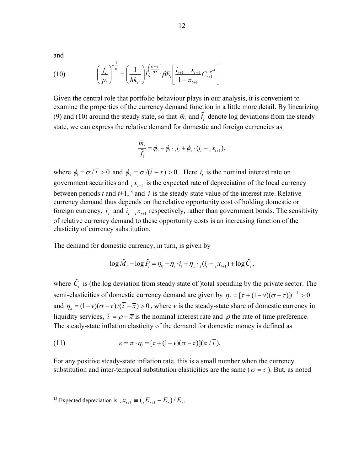and

(10) 
$$
\left(\frac{f_t}{p_t}\right)^{-\frac{1}{\sigma}} = \left(\frac{1}{hk_F}\right)L_t^{\left(\frac{\sigma-\tau}{\sigma\tau}\right)}\beta E_t^{\left[\frac{i_{t+1} - x_{t+1}}{1 + x_{t+1}}C_{t+1}^{-\tau^{-1}}\right]}.
$$

Given the central role that portfolio behaviour plays in our analysis, it is convenient to examine the properties of the currency demand function in a little more detail. By linearizing (9) and (10) around the steady state, so that  $\tilde{m}_t$  and  $\tilde{f}_t$  denote log deviations from the steady state, we can express the relative demand for domestic and foreign currencies as

$$
\frac{\tilde{m}_t}{\tilde{f}_t} = \phi_0 - \phi_i \cdot {}_{t}i_t + \phi_x \cdot (i_t - {}_{t}x_{t+1}),
$$

where  $\phi_i = \sigma /(\bar{i} > 0$  and  $\phi_x = \sigma /(\bar{i} - \bar{x}) > 0$ . Here *i<sub>i</sub>* is the nominal interest rate on government securities and  $_{t} x_{t+1}$  is the expected rate of depreciation of the local currency between periods *t* and  $t+1$ ,<sup>15</sup> and  $\overline{i}$  is the steady-state value of the interest rate. Relative currency demand thus depends on the relative opportunity cost of holding domestic or foreign currency,  $i_t$  and  $i_t - x_{t+1}$  respectively, rather than government bonds. The sensitivity of relative currency demand to these opportunity costs is an increasing function of the elasticity of currency substitution.

The demand for domestic currency, in turn, is given by

$$
\log \tilde{M}_t - \log \tilde{P}_t = \eta_0 - \eta_i \cdot i_t + \eta_x \cdot (i_t - x_{t+1}) + \log \tilde{C}_t,
$$

where  $\tilde{C}_t$  is (the log deviation from steady state of )total spending by the private sector. The semi-elasticities of domestic currency demand are given by  $\eta_i = [\tau + (1 - \nu)(\sigma - \tau)]\bar{i}^{-1} > 0$ and  $\eta_x = (1 - v)(\sigma - \tau)/(\bar{i} - \bar{x}) > 0$ , where *v* is the steady-state share of domestic currency in liquidity services,  $\vec{i} = \rho + \vec{\pi}$  is the nominal interest rate and  $\rho$  the rate of time preference. The steady-state inflation elasticity of the demand for domestic money is defined as

(11) 
$$
\varepsilon = \overline{\pi} \cdot \eta_i = [\tau + (1 - \nu)(\sigma - \tau)](\overline{\pi}/\overline{i}).
$$

For any positive steady-state inflation rate, this is a small number when the currency substitution and inter-temporal substitution elasticities are the same ( $\sigma = \tau$ ). But, as noted

 $\overline{a}$ 

<sup>&</sup>lt;sup>15</sup> Expected depreciation is  $_{t} x_{t+1} \equiv ( {_{t} E_{t+1} - E_{t} } ) / E_{t}$ .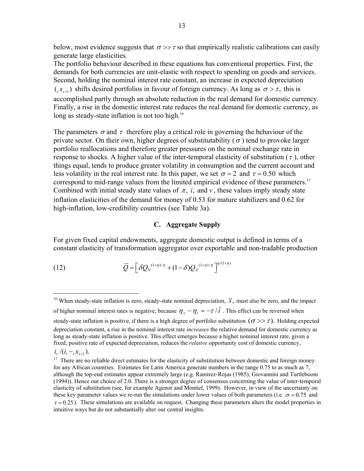below, most evidence suggests that  $\sigma \gg \tau$  so that empirically realistic calibrations can easily generate large elasticities.

The portfolio behaviour described in these equations has conventional properties. First, the demands for both currencies are unit-elastic with respect to spending on goods and services. Second, holding the nominal interest rate constant, an increase in expected depreciation  $(x_{t+1})$  shifts desired portfolios in favour of foreign currency. As long as  $\sigma > \tau$ , this is accomplished partly through an absolute reduction in the real demand for domestic currency. Finally, a rise in the domestic interest rate reduces the real demand for domestic currency, as long as steady-state inflation is not too high.<sup>16</sup>

The parameters  $\sigma$  and  $\tau$  therefore play a critical role in governing the behaviour of the private sector. On their own, higher degrees of substitutability ( $\sigma$ ) tend to provoke larger portfolio reallocations and therefore greater pressures on the nominal exchange rate in response to shocks. A higher value of the inter-temporal elasticity of substitution ( $\tau$ ), other things equal, tends to produce greater volatility in consumption and the current account and less volatility in the real interest rate. In this paper, we set  $\sigma = 2$  and  $\tau = 0.50$  which correspond to mid-range values from the limited empirical evidence of these parameters.<sup>17</sup> Combined with initial steady state values of  $\pi$ , *i*, and *v*, these values imply steady state inflation elasticities of the demand for money of 0.53 for mature stabilizers and 0.62 for high-inflation, low-credibility countries (see Table 3a).

#### **C. Aggregate Supply**

For given fixed capital endowments, aggregate domestic output is defined in terms of a constant elasticity of transformation aggregator over exportable and non-tradable production

(12) 
$$
\overline{Q} = \left[ \delta Q_N^{(1+\eta)/\eta} + (1-\delta)Q_X^{(1+\eta)/\eta} \right]^{\eta/(1+\eta)}
$$

1

<sup>&</sup>lt;sup>16</sup> When steady-state inflation is zero, steady-state nominal depreciation,  $\bar{x}$ , must also be zero, and the impact of higher nominal interest rates is negative, because  $\eta_x - \eta_i = -\tau/\bar{i}$ . This effect can be reversed when steady-state inflation is positive, if there is a high degree of portfolio substitution  $(\sigma \gg \tau)$ . Holding expected depreciation constant, a rise in the nominal interest rate *increases* the relative demand for domestic currency as long as steady-state inflation is positive. This effect emerges because a higher nominal interest rate, given a fixed, positive rate of expected depreciation, reduces the *relative* opportunity cost of domestic currency,  $i_t$  /( $i_t - x_{t+1}$ ). <sup>17</sup> There are no reliable direct estimates for the elasticity of substitution between domestic and foreign money

for any African countries. Estimates for Latin America generate numbers in the range 0.75 to as much as 7, although the top-end estimates appear extremely large (e.g. Ramirez-Rojas (1985), Giovannini and Turtleboom (1994)). Hence our choice of 2.0. There is a stronger degree of consensus concerning the value of inter-temporal elasticity of substitution (see, for example Agenor and Montiel, 1999). However, in view of the uncertainty on these key parameter values we re-run the simulations under lower values of both parameters (i.e.  $\sigma = 0.75$  and  $\tau = 0.25$ ). These simulations are available on request. Changing these parameters alters the model properties in intuitive ways but do not substantially alter our central insights.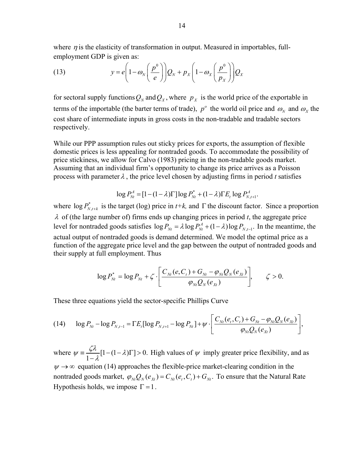where  $\eta$  is the elasticity of transformation in output. Measured in importables, fullemployment GDP is given as:

(13) 
$$
y = e \left( 1 - \omega_N \left( \frac{p^0}{e} \right) \right) Q_N + p_X \left( 1 - \omega_X \left( \frac{p^0}{p_X} \right) \right) Q_X
$$

for sectoral supply functions  $Q_N$  and  $Q_X$ , where  $p_X$  is the world price of the exportable in terms of the importable (the barter terms of trade),  $p^{\circ}$  the world oil price and  $\omega_{N}$  and  $\omega_{N}$  the cost share of intermediate inputs in gross costs in the non-tradable and tradable sectors respectively.

While our PPP assumption rules out sticky prices for exports, the assumption of flexible domestic prices is less appealing for nontraded goods. To accommodate the possibility of price stickiness, we allow for Calvo (1983) pricing in the non-tradable goods market. Assuming that an individual firm's opportunity to change its price arrives as a Poisson process with parameter  $\lambda$ , the price level chosen by adjusting firms in period *t* satisfies

$$
\log P_{Nt}^A = [1 - (1 - \lambda)\Gamma] \log P_{Nt}^* + (1 - \lambda)\Gamma E_t \log P_{N, t+1}^A.
$$

where  $\log P_{N,t+k}^*$  is the target (log) price in  $t+k$ , and  $\Gamma$  the discount factor. Since a proportion λ of (the large number of) firms ends up changing prices in period *t*, the aggregate price level for nontraded goods satisfies  $\log P_{Nt} = \lambda \log P_{Nt}^A + (1 - \lambda) \log P_{N,t-1}$ . In the meantime, the actual output of nontraded goods is demand determined. We model the optimal price as a function of the aggregate price level and the gap between the output of nontraded goods and their supply at full employment. Thus

$$
\log P_{Nt}^* = \log P_{Nt} + \zeta \cdot \left[ \frac{C_{Nt}(e, C_t) + G_{Nt} - \varphi_{Nt} Q_N(e_{Xt})}{\varphi_{Nt} Q_N(e_{Xt})} \right], \qquad \zeta > 0.
$$

These three equations yield the sector-specific Phillips Curve

$$
(14) \qquad \log P_{Nt} - \log P_{N,t-1} = \Gamma E_t [\log P_{N,t+1} - \log P_{Nt}] + \psi \cdot \left[ \frac{C_{Nt}(e_t, C_t) + G_{Nt} - \varphi_{Nt} Q_N(e_{Xt})}{\varphi_{Nt} Q_N(e_{Xt})} \right],
$$

where  $\psi = \frac{\zeta \lambda}{1 - \lambda} [1 - (1 - \lambda) \Gamma] > 0$ . High values of  $\psi$  imply greater price flexibility, and as  $\psi \rightarrow \infty$  equation (14) approaches the flexible-price market-clearing condition in the nontraded goods market,  $\varphi_{Nt} Q_N(e_{X_t}) = C_{Nt}(e_t, C_t) + G_{Nt}$ . To ensure that the Natural Rate Hypothesis holds, we impose  $\Gamma = 1$ .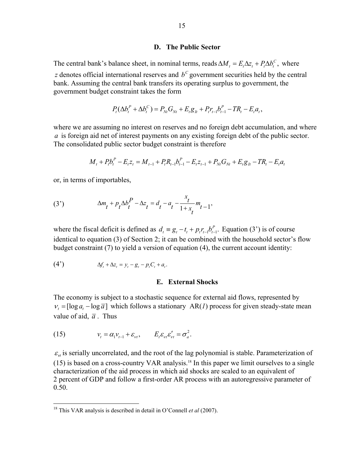#### **D. The Public Sector**

The central bank's balance sheet, in nominal terms, reads  $\Delta M_t = E_t \Delta z_t + P_t \Delta b_t^C$ , where *z* denotes official international reserves and  $b<sup>C</sup>$  government securities held by the central bank. Assuming the central bank transfers its operating surplus to government, the government budget constraint takes the form

$$
P_{t}(\Delta b_{t}^{P} + \Delta b_{t}^{C}) = P_{Nt}G_{Nt} + E_{t}g_{t} + P_{t}r_{t-1}b_{t-1}^{P} - TR_{t} - E_{t}a_{t},
$$

where we are assuming no interest on reserves and no foreign debt accumulation, and where *a* is foreign aid net of interest payments on any existing foreign debt of the public sector. The consolidated public sector budget constraint is therefore

$$
M_t + P_t b_t^P - E_t z_t = M_{t-1} + P_t R_{t-1} b_{t-1}^P - E_t z_{t-1} + P_{Nt} G_{Nt} + E_t g_{tt} - T R_t - E_t a_t
$$

or, in terms of importables,

(3') 
$$
\Delta m_t + p_t \Delta b_t^P - \Delta z_t = d_t - a_t - \frac{x_t}{1 + x_t} m_{t-1},
$$

where the fiscal deficit is defined as  $d_t = g_t - t_t + p_t r_{t-1} b_{t-1}^P$ . Equation (3<sup>'</sup>) is of course identical to equation (3) of Section 2; it can be combined with the household sector's flow budget constraint (7) to yield a version of equation (4), the current account identity:

$$
(4^{\prime}) \qquad \Delta f_t + \Delta z_t = y_t - g_t - p_t C_t + a_t.
$$

#### **E. External Shocks**

The economy is subject to a stochastic sequence for external aid flows, represented by  $v_t = [\log a_t - \log \overline{a}]$  which follows a stationary AR(*1*) process for given steady-state mean value of aid,  $\overline{a}$ . Thus

(15) 
$$
v_t = \alpha_1 v_{t-1} + \varepsilon_{vt}, \qquad E_t \varepsilon_{vt} \varepsilon_{vt}' = \sigma_a^2.
$$

 $\overline{a}$ 

 $\varepsilon_{\nu}$  is serially uncorrelated, and the root of the lag polynomial is stable. Parameterization of  $(15)$  is based on a cross-country VAR analysis.<sup>18</sup> In this paper we limit ourselves to a single characterization of the aid process in which aid shocks are scaled to an equivalent of 2 percent of GDP and follow a first-order AR process with an autoregressive parameter of 0.50.

<sup>18</sup> This VAR analysis is described in detail in O'Connell *et al* (2007).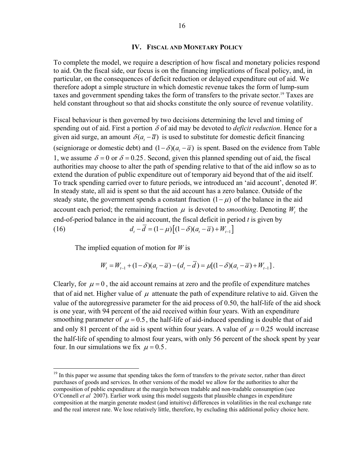#### **IV. FISCAL AND MONETARY POLICY**

To complete the model, we require a description of how fiscal and monetary policies respond to aid. On the fiscal side, our focus is on the financing implications of fiscal policy, and, in particular, on the consequences of deficit reduction or delayed expenditure out of aid. We therefore adopt a simple structure in which domestic revenue takes the form of lump-sum taxes and government spending takes the form of transfers to the private sector.<sup>19</sup> Taxes are held constant throughout so that aid shocks constitute the only source of revenue volatility.

Fiscal behaviour is then governed by two decisions determining the level and timing of spending out of aid. First a portion  $\delta$  of aid may be devoted to *deficit reduction*. Hence for a given aid surge, an amount  $\delta(a, -\overline{a})$  is used to substitute for domestic deficit financing (seigniorage or domestic debt) and  $(1 - \delta)(a<sub>t</sub> - \overline{a})$  is spent. Based on the evidence from Table 1, we assume  $\delta = 0$  or  $\delta = 0.25$ . Second, given this planned spending out of aid, the fiscal authorities may choose to alter the path of spending relative to that of the aid inflow so as to extend the duration of public expenditure out of temporary aid beyond that of the aid itself. To track spending carried over to future periods, we introduced an 'aid account', denoted *W.*  In steady state, all aid is spent so that the aid account has a zero balance. Outside of the steady state, the government spends a constant fraction  $(1 - \mu)$  of the balance in the aid account each period; the remaining fraction  $\mu$  is devoted to *smoothing*. Denoting  $W_t$ , the end-of-period balance in the aid account, the fiscal deficit in period *t* is given by (16)  $d_{\iota} - \overline{d} = (1 - \mu) [(1 - \delta)(a_{\iota} - \overline{a}) + W_{\iota-1}]$ 

The implied equation of motion for *W* is

<u>.</u>

$$
W_{t} = W_{t-1} + (1 - \delta)(a_{t} - \overline{a}) - (d_{t} - \overline{d}) = \mu[(1 - \delta)(a_{t} - \overline{a}) + W_{t-1}].
$$

Clearly, for  $\mu = 0$ , the aid account remains at zero and the profile of expenditure matches that of aid net. Higher value of  $\mu$  attenuate the path of expenditure relative to aid. Given the value of the autoregressive parameter for the aid process of 0.50, the half-life of the aid shock is one year, with 94 percent of the aid received within four years. With an expenditure smoothing parameter of  $\mu = 0.5$ , the half-life of aid-induced spending is double that of aid and only 81 percent of the aid is spent within four years. A value of  $\mu = 0.25$  would increase the half-life of spending to almost four years, with only 56 percent of the shock spent by year four. In our simulations we fix  $\mu = 0.5$ .

<sup>&</sup>lt;sup>19</sup> In this paper we assume that spending takes the form of transfers to the private sector, rather than direct purchases of goods and services. In other versions of the model we allow for the authorities to alter the composition of public expenditure at the margin between tradable and non-tradable consumption (see O'Connell *et al* 2007). Earlier work using this model suggests that plausible changes in expenditure composition at the margin generate modest (and intuitive) differences in volatilities in the real exchange rate and the real interest rate. We lose relatively little, therefore, by excluding this additional policy choice here.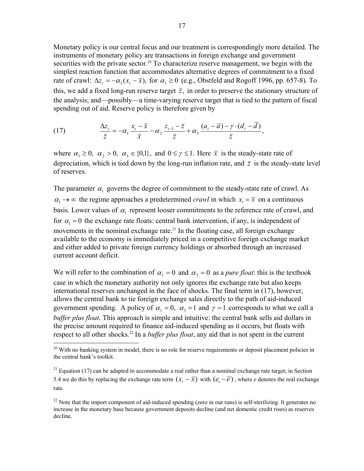Monetary policy is our central focus and our treatment is correspondingly more detailed. The instruments of monetary policy are transactions in foreign exchange and government securities with the private sector.<sup>20</sup> To characterize reserve management, we begin with the simplest reaction function that accommodates alternative degrees of commitment to a fixed rate of crawl:  $\Delta z_t = -\alpha_1 (x_t - \bar{x})$ , for  $\alpha_1 \ge 0$  (e.g., Obstfeld and Rogoff 1996, pp. 657-8). To this, we add a fixed long-run reserve target  $\bar{z}$ , in order to preserve the stationary structure of the analysis; and—possibly—a time-varying reserve target that is tied to the pattern of fiscal spending out of aid. Reserve policy is therefore given by

(17) 
$$
\frac{\Delta z_i}{\overline{z}} = -\alpha_1 \frac{x_i - \overline{x}}{\overline{x}} - \alpha_2 \frac{z_{i-1} - \overline{z}}{\overline{z}} + \alpha_3 \frac{(a_i - \overline{a}) - \gamma \cdot (d_i - \overline{d})}{\overline{z}},
$$

where  $\alpha_1 \geq 0$ ,  $\alpha_2 > 0$ ,  $\alpha_3 \in \{0,1\}$ , and  $0 \leq \gamma \leq 1$ . Here  $\bar{x}$  is the steady-state rate of depreciation, which is tied down by the long-run inflation rate, and  $\bar{z}$  is the steady-state level of reserves.

The parameter  $\alpha_1$  governs the degree of commitment to the steady-state rate of crawl. As  $\alpha_1 \rightarrow \infty$  the regime approaches a predetermined *crawl* in which  $x_i = \overline{x}$  on a continuous basis. Lower values of  $\alpha_1$  represent looser commitments to the reference rate of crawl, and for  $\alpha_1 = 0$  the exchange rate floats: central bank intervention, if any, is independent of movements in the nominal exchange rate.<sup>21</sup> In the floating case, all foreign exchange available to the economy is immediately priced in a competitive foreign exchange market and either added to private foreign currency holdings or absorbed through an increased current account deficit.

We will refer to the combination of  $\alpha_1 = 0$  and  $\alpha_3 = 0$  as a *pure float*: this is the textbook case in which the monetary authority not only ignores the exchange rate but also keeps international reserves unchanged in the face of shocks. The final term in (17), however, allows the central bank to tie foreign exchange sales directly to the path of aid-induced government spending. A policy of  $\alpha_1 = 0$ ,  $\alpha_2 = 1$  and  $\gamma = 1$  corresponds to what we call a *buffer plus float*. This approach is simple and intuitive: the central bank sells aid dollars in the precise amount required to finance aid-induced spending as it occurs, but floats with respect to all other shocks.<sup>22</sup> In a *buffer plus float*, any aid that is not spent in the current

 $\overline{a}$ 

 $^{20}$  With no banking system in model, there is no role for reserve requirements or deposit placement policies in the central bank's toolkit.

 $21$  Equation (17) can be adapted to accommodate a real rather than a nominal exchange rate target; in Section 5.4 we do this by replacing the exchange rate term  $(x, -\overline{x})$  with  $(e, -\overline{e})$ , where *e* denotes the real exchange rate.

<sup>&</sup>lt;sup>22</sup> Note that the import component of aid-induced spending (zero in our runs) is self-sterilizing. It generates no increase in the monetary base because government deposits decline (and net domestic credit rises) as reserves decline.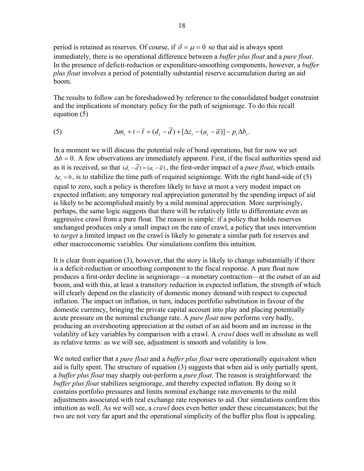period is retained as reserves. Of course, if  $\delta = \mu = 0$  so that aid is always spent immediately, there is no operational difference between a *buffer plus float* and a *pure float*. In the presence of deficit-reduction or expenditure-smoothing components, however, a *buffer plus float* involves a period of potentially substantial reserve accumulation during an aid boom.

The results to follow can be foreshadowed by reference to the consolidated budget constraint and the implications of monetary policy for the path of seigniorage. To do this recall equation (5)

(5) 
$$
\Delta m_t + t - \bar{t} = (d_t - d) + [\Delta z_t - (a_t - \bar{a})] - p_t \Delta b_t.
$$

In a moment we will discuss the potential role of bond operations, but for now we set  $\Delta b = 0$ . A few observations are immediately apparent. First, if the fiscal authorities spend aid as it is received, so that  $(d, -\overline{d}) = (a, -\overline{a})$ , the first-order impact of a *pure float*, which entails  $\Delta z = 0$ , is to stabilize the time path of required seigniorage. With the right hand-side of (5) equal to zero, such a policy is therefore likely to have at most a very modest impact on expected inflation; any temporary real appreciation generated by the spending impact of aid is likely to be accomplished mainly by a mild nominal appreciation. More surprisingly, perhaps, the same logic suggests that there will be relatively little to differentiate even an aggressive crawl from a pure float. The reason is simple: if a policy that holds reserves unchanged produces only a small impact on the rate of crawl, a policy that uses intervention to *target* a limited impact on the crawl is likely to generate a similar path for reserves and other macroeconomic variables. Our simulations confirm this intuition.

It is clear from equation (3), however, that the story is likely to change substantially if there is a deficit-reduction or smoothing component to the fiscal response. A pure float now produces a first-order decline in seigniorage—a monetary contraction—at the outset of an aid boom, and with this, at least a transitory reduction in expected inflation, the strength of which will clearly depend on the elasticity of domestic money demand with respect to expected inflation. The impact on inflation, in turn, induces portfolio substitution in favour of the domestic currency, bringing the private capital account into play and placing potentially acute pressure on the nominal exchange rate. A *pure float* now performs very badly, producing an overshooting appreciation at the outset of an aid boom and an increase in the volatility of key variables by comparison with a crawl. A *crawl* does well in absolute as well as relative terms: as we will see, adjustment is smooth and volatility is low.

We noted earlier that a *pure float* and a *buffer plus float* were operationally equivalent when aid is fully spent. The structure of equation (3) suggests that when aid is only partially spent, a *buffer plus float* may sharply out-perform a *pure float*. The reason is straightforward: the *buffer plus float* stabilizes seigniorage, and thereby expected inflation. By doing so it contains portfolio pressures and limits nominal exchange rate movements to the mild adjustments associated with real exchange rate responses to aid. Our simulations confirm this intuition as well. As we will see, a *crawl* does even better under these circumstances; but the two are not very far apart and the operational simplicity of the buffer plus float is appealing.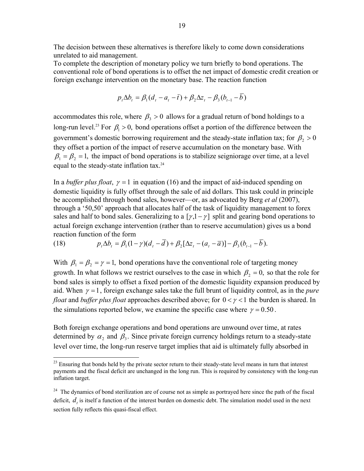The decision between these alternatives is therefore likely to come down considerations unrelated to aid management.

To complete the description of monetary policy we turn briefly to bond operations. The conventional role of bond operations is to offset the net impact of domestic credit creation or foreign exchange intervention on the monetary base. The reaction function

$$
p_{t}\Delta b_{t} = \beta_{1}(d_{t} - a_{t} - \bar{t}) + \beta_{2}\Delta z_{t} - \beta_{3}(b_{t-1} - b)
$$

accommodates this role, where  $\beta_1 > 0$  allows for a gradual return of bond holdings to a long-run level.<sup>23</sup> For  $\beta_1 > 0$ , bond operations offset a portion of the difference between the government's domestic borrowing requirement and the steady-state inflation tax; for  $\beta$  > 0 they offset a portion of the impact of reserve accumulation on the monetary base. With  $\beta_1 = \beta_2 = 1$ , the impact of bond operations is to stabilize seigniorage over time, at a level equal to the steady-state inflation tax.<sup>24</sup>

In a *buffer plus float*,  $\gamma = 1$  in equation (16) and the impact of aid-induced spending on domestic liquidity is fully offset through the sale of aid dollars. This task could in principle be accomplished through bond sales, however—or, as advocated by Berg *et al* (2007), through a '50,50' approach that allocates half of the task of liquidity management to forex sales and half to bond sales. Generalizing to a  $[\gamma, 1 - \gamma]$  split and gearing bond operations to actual foreign exchange intervention (rather than to reserve accumulation) gives us a bond reaction function of the form

(18) 
$$
p_t \Delta b_t = \beta_1 (1 - \gamma)(d_t - \overline{d}) + \beta_2 [\Delta z_t - (a_t - \overline{a})] - \beta_3 (b_{t-1} - \overline{b}).
$$

 $\overline{a}$ 

With  $\beta_1 = \beta_2 = \gamma = 1$ , bond operations have the conventional role of targeting money growth. In what follows we restrict ourselves to the case in which  $\beta_2 = 0$ , so that the role for bond sales is simply to offset a fixed portion of the domestic liquidity expansion produced by aid. When  $\gamma = 1$ , foreign exchange sales take the full brunt of liquidity control, as in the *pure float* and *buffer plus float* approaches described above; for  $0 < \gamma < 1$  the burden is shared. In the simulations reported below, we examine the specific case where  $\gamma = 0.50$ .

Both foreign exchange operations and bond operations are unwound over time, at rates determined by  $\alpha_2$  and  $\beta_3$ . Since private foreign currency holdings return to a steady-state level over time, the long-run reserve target implies that aid is ultimately fully absorbed in

<sup>&</sup>lt;sup>23</sup> Ensuring that bonds held by the private sector return to their steady-state level means in turn that interest payments and the fiscal deficit are unchanged in the long run. This is required by consistency with the long-run inflation target.

<sup>&</sup>lt;sup>24</sup> The dynamics of bond sterilization are of course not as simple as portrayed here since the path of the fiscal deficit,  $d_i$ , is itself a function of the interest burden on domestic debt. The simulation model used in the next section fully reflects this quasi-fiscal effect.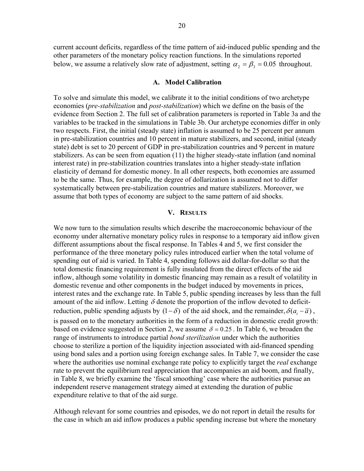current account deficits, regardless of the time pattern of aid-induced public spending and the other parameters of the monetary policy reaction functions. In the simulations reported below, we assume a relatively slow rate of adjustment, setting  $\alpha_2 = \beta_3 = 0.05$  throughout.

#### **A. Model Calibration**

To solve and simulate this model, we calibrate it to the initial conditions of two archetype economies (*pre-stabilization* and *post-stabilization*) which we define on the basis of the evidence from Section 2. The full set of calibration parameters is reported in Table 3a and the variables to be tracked in the simulations in Table 3b. Our archetype economies differ in only two respects. First, the initial (steady state) inflation is assumed to be 25 percent per annum in pre-stabilization countries and 10 percent in mature stabilizers, and second, initial (steady state) debt is set to 20 percent of GDP in pre-stabilization countries and 9 percent in mature stabilizers. As can be seen from equation (11) the higher steady-state inflation (and nominal interest rate) in pre-stabilization countries translates into a higher steady-state inflation elasticity of demand for domestic money. In all other respects, both economies are assumed to be the same. Thus, for example, the degree of dollarization is assumed not to differ systematically between pre-stabilization countries and mature stabilizers. Moreover, we assume that both types of economy are subject to the same pattern of aid shocks.

# **V. RESULTS**

We now turn to the simulation results which describe the macroeconomic behaviour of the economy under alternative monetary policy rules in response to a temporary aid inflow given different assumptions about the fiscal response. In Tables 4 and 5, we first consider the performance of the three monetary policy rules introduced earlier when the total volume of spending out of aid is varied. In Table 4, spending follows aid dollar-for-dollar so that the total domestic financing requirement is fully insulated from the direct effects of the aid inflow, although some volatility in domestic financing may remain as a result of volatility in domestic revenue and other components in the budget induced by movements in prices, interest rates and the exchange rate. In Table 5, public spending increases by less than the full amount of the aid inflow. Letting  $\delta$  denote the proportion of the inflow devoted to deficitreduction, public spending adjusts by  $(1 - \delta)$  of the aid shock, and the remainder,  $\delta(a, -\overline{a})$ , is passed on to the monetary authorities in the form of a reduction in domestic credit growth: based on evidence suggested in Section 2, we assume  $\delta = 0.25$ . In Table 6, we broaden the range of instruments to introduce partial *bond sterilization* under which the authorities choose to sterilize a portion of the liquidity injection associated with aid-financed spending using bond sales and a portion using foreign exchange sales. In Table 7, we consider the case where the authorities use nominal exchange rate policy to explicitly target the *real* exchange rate to prevent the equilibrium real appreciation that accompanies an aid boom, and finally, in Table 8, we briefly examine the 'fiscal smoothing' case where the authorities pursue an independent reserve management strategy aimed at extending the duration of public expenditure relative to that of the aid surge.

Although relevant for some countries and episodes, we do not report in detail the results for the case in which an aid inflow produces a public spending increase but where the monetary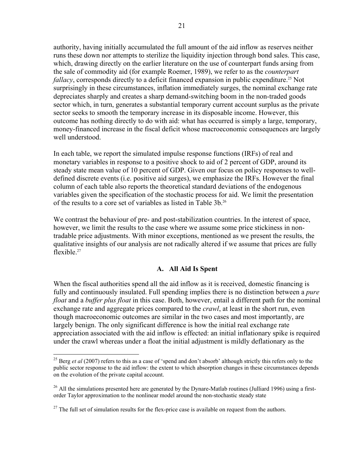authority, having initially accumulated the full amount of the aid inflow as reserves neither runs these down nor attempts to sterilize the liquidity injection through bond sales. This case, which, drawing directly on the earlier literature on the use of counterpart funds arsing from the sale of commodity aid (for example Roemer, 1989), we refer to as the *counterpart fallacy*, corresponds directly to a deficit financed expansion in public expenditure.<sup>25</sup> Not surprisingly in these circumstances, inflation immediately surges, the nominal exchange rate depreciates sharply and creates a sharp demand-switching boom in the non-traded goods sector which, in turn, generates a substantial temporary current account surplus as the private sector seeks to smooth the temporary increase in its disposable income. However, this outcome has nothing directly to do with aid: what has occurred is simply a large, temporary, money-financed increase in the fiscal deficit whose macroeconomic consequences are largely well understood.

In each table, we report the simulated impulse response functions (IRFs) of real and monetary variables in response to a positive shock to aid of 2 percent of GDP, around its steady state mean value of 10 percent of GDP. Given our focus on policy responses to welldefined discrete events (i.e. positive aid surges), we emphasize the IRFs. However the final column of each table also reports the theoretical standard deviations of the endogenous variables given the specification of the stochastic process for aid. We limit the presentation of the results to a core set of variables as listed in Table 3b.26

We contrast the behaviour of pre- and post-stabilization countries. In the interest of space, however, we limit the results to the case where we assume some price stickiness in nontradable price adjustments. With minor exceptions, mentioned as we present the results, the qualitative insights of our analysis are not radically altered if we assume that prices are fully flexible.<sup>27</sup>

# **A. All Aid Is Spent**

When the fiscal authorities spend all the aid inflow as it is received, domestic financing is fully and continuously insulated. Full spending implies there is no distinction between a *pure float* and a *buffer plus float* in this case. Both, however, entail a different path for the nominal exchange rate and aggregate prices compared to the *crawl*, at least in the short run, even though macroeconomic outcomes are similar in the two cases and most importantly, are largely benign. The only significant difference is how the initial real exchange rate appreciation associated with the aid inflow is effected: an initial inflationary spike is required under the crawl whereas under a float the initial adjustment is mildly deflationary as the

 $\overline{a}$ 

<sup>&</sup>lt;sup>25</sup> Berg *et al* (2007) refers to this as a case of 'spend and don't absorb' although strictly this refers only to the public sector response to the aid inflow: the extent to which absorption changes in these circumstances depends on the evolution of the private capital account.

<sup>&</sup>lt;sup>26</sup> All the simulations presented here are generated by the Dynare-Matlab routines (Julliard 1996) using a firstorder Taylor approximation to the nonlinear model around the non-stochastic steady state

 $27$  The full set of simulation results for the flex-price case is available on request from the authors.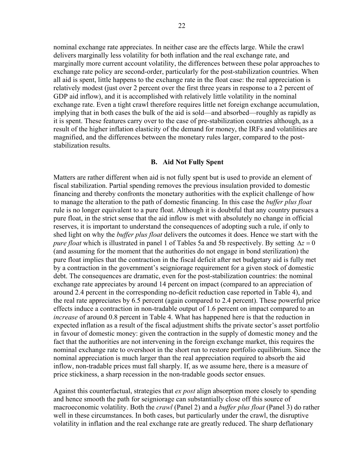nominal exchange rate appreciates. In neither case are the effects large. While the crawl delivers marginally less volatility for both inflation and the real exchange rate, and marginally more current account volatility, the differences between these polar approaches to exchange rate policy are second-order, particularly for the post-stabilization countries. When all aid is spent, little happens to the exchange rate in the float case: the real appreciation is relatively modest (just over 2 percent over the first three years in response to a 2 percent of GDP aid inflow), and it is accomplished with relatively little volatility in the nominal exchange rate. Even a tight crawl therefore requires little net foreign exchange accumulation, implying that in both cases the bulk of the aid is sold—and absorbed—roughly as rapidly as it is spent. These features carry over to the case of pre-stabilization countries although, as a result of the higher inflation elasticity of the demand for money, the IRFs and volatilities are magnified, and the differences between the monetary rules larger, compared to the poststabilization results.

#### **B. Aid Not Fully Spent**

Matters are rather different when aid is not fully spent but is used to provide an element of fiscal stabilization. Partial spending removes the previous insulation provided to domestic financing and thereby confronts the monetary authorities with the explicit challenge of how to manage the alteration to the path of domestic financing. In this case the *buffer plus float* rule is no longer equivalent to a pure float. Although it is doubtful that any country pursues a pure float, in the strict sense that the aid inflow is met with absolutely no change in official reserves, it is important to understand the consequences of adopting such a rule, if only to shed light on why the *buffer plus float* delivers the outcomes it does. Hence we start with the *pure float* which is illustrated in panel 1 of Tables 5a and 5b respectively. By setting  $\Delta z = 0$ (and assuming for the moment that the authorities do not engage in bond sterilization) the pure float implies that the contraction in the fiscal deficit after net budgetary aid is fully met by a contraction in the government's seigniorage requirement for a given stock of domestic debt. The consequences are dramatic, even for the post-stabilization countries: the nominal exchange rate appreciates by around 14 percent on impact (compared to an appreciation of around 2.4 percent in the corresponding no-deficit reduction case reported in Table 4), and the real rate appreciates by 6.5 percent (again compared to 2.4 percent). These powerful price effects induce a contraction in non-tradable output of 1.6 percent on impact compared to an *increase* of around 0.8 percent in Table 4. What has happened here is that the reduction in expected inflation as a result of the fiscal adjustment shifts the private sector's asset portfolio in favour of domestic money: given the contraction in the supply of domestic money and the fact that the authorities are not intervening in the foreign exchange market, this requires the nominal exchange rate to overshoot in the short run to restore portfolio equilibrium. Since the nominal appreciation is much larger than the real appreciation required to absorb the aid inflow, non-tradable prices must fall sharply. If, as we assume here, there is a measure of price stickiness, a sharp recession in the non-tradable goods sector ensues.

Against this counterfactual, strategies that *ex post* align absorption more closely to spending and hence smooth the path for seigniorage can substantially close off this source of macroeconomic volatility. Both the *crawl* (Panel 2) and a *buffer plus float* (Panel 3) do rather well in these circumstances. In both cases, but particularly under the crawl, the disruptive volatility in inflation and the real exchange rate are greatly reduced. The sharp deflationary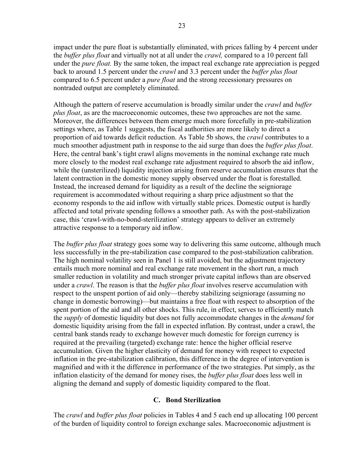impact under the pure float is substantially eliminated, with prices falling by 4 percent under the *buffer plus float* and virtually not at all under the *crawl,* compared to a 10 percent fall under the *pure float.* By the same token, the impact real exchange rate appreciation is pegged back to around 1.5 percent under the *crawl* and 3.3 percent under the *buffer plus float* compared to 6.5 percent under a *pure float* and the strong recessionary pressures on nontraded output are completely eliminated.

Although the pattern of reserve accumulation is broadly similar under the *crawl* and *buffer plus float*, as are the macroeconomic outcomes, these two approaches are not the same. Moreover, the differences between them emerge much more forcefully in pre-stabilization settings where, as Table 1 suggests, the fiscal authorities are more likely to direct a proportion of aid towards deficit reduction. As Table 5b shows, the *crawl* contributes to a much smoother adjustment path in response to the aid surge than does the *buffer plus float*. Here, the central bank's tight crawl aligns movements in the nominal exchange rate much more closely to the modest real exchange rate adjustment required to absorb the aid inflow, while the (unsterilized) liquidity injection arising from reserve accumulation ensures that the latent contraction in the domestic money supply observed under the float is forestalled. Instead, the increased demand for liquidity as a result of the decline the seigniorage requirement is accommodated without requiring a sharp price adjustment so that the economy responds to the aid inflow with virtually stable prices. Domestic output is hardly affected and total private spending follows a smoother path. As with the post-stabilization case, this 'crawl-with-no-bond-sterilization' strategy appears to deliver an extremely attractive response to a temporary aid inflow.

The *buffer plus float* strategy goes some way to delivering this same outcome, although much less successfully in the pre-stabilization case compared to the post-stabilization calibration. The high nominal volatility seen in Panel 1 is still avoided, but the adjustment trajectory entails much more nominal and real exchange rate movement in the short run, a much smaller reduction in volatility and much stronger private capital inflows than are observed under a *crawl*. The reason is that the *buffer plus float* involves reserve accumulation with respect to the unspent portion of aid only—thereby stabilizing seigniorage (assuming no change in domestic borrowing)—but maintains a free float with respect to absorption of the spent portion of the aid and all other shocks. This rule, in effect, serves to efficiently match the *supply* of domestic liquidity but does not fully accommodate changes in the *demand* for domestic liquidity arising from the fall in expected inflation. By contrast, under a crawl, the central bank stands ready to exchange however much domestic for foreign currency is required at the prevailing (targeted) exchange rate: hence the higher official reserve accumulation. Given the higher elasticity of demand for money with respect to expected inflation in the pre-stabilization calibration, this difference in the degree of intervention is magnified and with it the difference in performance of the two strategies. Put simply, as the inflation elasticity of the demand for money rises, the *buffer plus float* does less well in aligning the demand and supply of domestic liquidity compared to the float.

# **C. Bond Sterilization**

The *crawl* and *buffer plus float* policies in Tables 4 and 5 each end up allocating 100 percent of the burden of liquidity control to foreign exchange sales. Macroeconomic adjustment is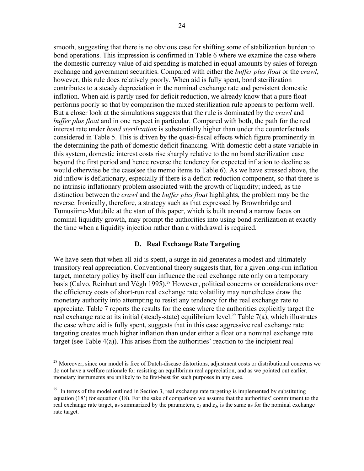smooth, suggesting that there is no obvious case for shifting some of stabilization burden to bond operations. This impression is confirmed in Table 6 where we examine the case where the domestic currency value of aid spending is matched in equal amounts by sales of foreign exchange and government securities. Compared with either the *buffer plus float* or the *crawl*, however, this rule does relatively poorly. When aid is fully spent, bond sterilization contributes to a steady depreciation in the nominal exchange rate and persistent domestic inflation. When aid is partly used for deficit reduction, we already know that a pure float performs poorly so that by comparison the mixed sterilization rule appears to perform well. But a closer look at the simulations suggests that the rule is dominated by the *crawl* and *buffer plus float* and in one respect in particular. Compared with both, the path for the real interest rate under *bond sterilization* is substantially higher than under the counterfactuals considered in Table 5. This is driven by the quasi-fiscal effects which figure prominently in the determining the path of domestic deficit financing. With domestic debt a state variable in this system, domestic interest costs rise sharply relative to the no bond sterilization case beyond the first period and hence reverse the tendency for expected inflation to decline as would otherwise be the case(see the memo items to Table 6). As we have stressed above, the aid inflow is deflationary, especially if there is a deficit-reduction component, so that there is no intrinsic inflationary problem associated with the growth of liquidity; indeed, as the distinction between the *crawl* and the *buffer plus float* highlights, the problem may be the reverse. Ironically, therefore, a strategy such as that expressed by Brownbridge and Tumusiime-Mutubile at the start of this paper, which is built around a narrow focus on nominal liquidity growth, may prompt the authorities into using bond sterilization at exactly the time when a liquidity injection rather than a withdrawal is required.

#### **D. Real Exchange Rate Targeting**

We have seen that when all aid is spent, a surge in aid generates a modest and ultimately transitory real appreciation. Conventional theory suggests that, for a given long-run inflation target, monetary policy by itself can influence the real exchange rate only on a temporary basis (Calvo, Reinhart and Végh 1995).<sup>28</sup> However, political concerns or considerations over the efficiency costs of short-run real exchange rate volatility may nonetheless draw the monetary authority into attempting to resist any tendency for the real exchange rate to appreciate. Table 7 reports the results for the case where the authorities explicitly target the real exchange rate at its initial (steady-state) equilibrium level.<sup>29</sup> Table 7(a), which illustrates the case where aid is fully spent, suggests that in this case aggressive real exchange rate targeting creates much higher inflation than under either a float or a nominal exchange rate target (see Table 4(a)). This arises from the authorities' reaction to the incipient real

 $\overline{a}$ 

<sup>&</sup>lt;sup>28</sup> Moreover, since our model is free of Dutch-disease distortions, adjustment costs or distributional concerns we do not have a welfare rationale for resisting an equilibrium real appreciation, and as we pointed out earlier, monetary instruments are unlikely to be first-best for such purposes in any case.

 $29$  In terms of the model outlined in Section 3, real exchange rate targeting is implemented by substituting equation (18') for equation (18). For the sake of comparison we assume that the authorities' commitment to the real exchange rate target, as summarized by the parameters,  $z_1$  and  $z_3$ , is the same as for the nominal exchange rate target.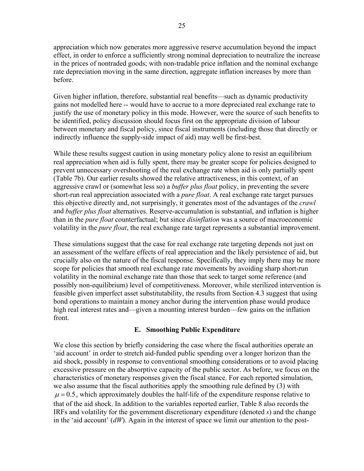appreciation which now generates more aggressive reserve accumulation beyond the impact effect, in order to enforce a sufficiently strong nominal depreciation to neutralize the increase in the prices of nontraded goods; with non-tradable price inflation and the nominal exchange rate depreciation moving in the same direction, aggregate inflation increases by more than before.

Given higher inflation, therefore, substantial real benefits—such as dynamic productivity gains not modelled here -- would have to accrue to a more depreciated real exchange rate to justify the use of monetary policy in this mode. However, were the source of such benefits to be identified, policy discussion should focus first on the appropriate division of labour between monetary and fiscal policy, since fiscal instruments (including those that directly or indirectly influence the supply-side impact of aid) may well be first-best.

While these results suggest caution in using monetary policy alone to resist an equilibrium real appreciation when aid is fully spent, there may be greater scope for policies designed to prevent unnecessary overshooting of the real exchange rate when aid is only partially spent (Table 7b). Our earlier results showed the relative attractiveness, in this context, of an aggressive crawl or (somewhat less so) a *buffer plus float* policy, in preventing the severe short-run real appreciation associated with a *pure float*. A real exchange rate target pursues this objective directly and, not surprisingly, it generates most of the advantages of the *crawl* and *buffer plus float* alternatives. Reserve-accumulation is substantial, and inflation is higher than in the *pure float* counterfactual; but since *disinflation* was a source of macroeconomic volatility in the *pure float*, the real exchange rate target represents a substantial improvement.

These simulations suggest that the case for real exchange rate targeting depends not just on an assessment of the welfare effects of real appreciation and the likely persistence of aid, but crucially also on the nature of the fiscal response. Specifically, they imply there may be more scope for policies that smooth real exchange rate movements by avoiding sharp short-run volatility in the nominal exchange rate than those that seek to target some reference (and possibly non-equilibrium) level of competitiveness. Moreover, while sterilized intervention is feasible given imperfect asset substitutability, the results from Section 4.3 suggest that using bond operations to maintain a money anchor during the intervention phase would produce high real interest rates and—given a mounting interest burden—few gains on the inflation front.

# **E. Smoothing Public Expenditure**

We close this section by briefly considering the case where the fiscal authorities operate an 'aid account' in order to stretch aid-funded public spending over a longer horizon than the aid shock, possibly in response to conventional smoothing considerations or to avoid placing excessive pressure on the absorptive capacity of the public sector. As before, we focus on the characteristics of monetary responses given the fiscal stance. For each reported simulation, we also assume that the fiscal authorities apply the smoothing rule defined by (3) with  $\mu$  = 0.5, which approximately doubles the half-life of the expenditure response relative to that of the aid shock. In addition to the variables reported earlier, Table 8 also records the IRFs and volatility for the government discretionary expenditure (denoted *s*) and the change in the 'aid account' (*dW*). Again in the interest of space we limit our attention to the post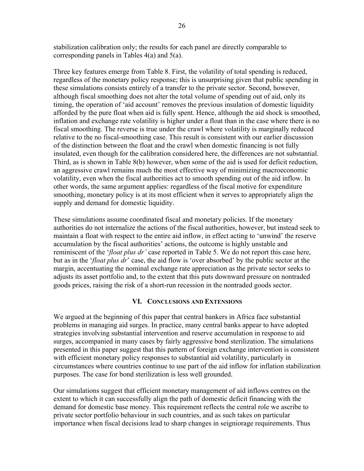stabilization calibration only; the results for each panel are directly comparable to corresponding panels in Tables 4(a) and 5(a).

Three key features emerge from Table 8. First, the volatility of total spending is reduced, regardless of the monetary policy response; this is unsurprising given that public spending in these simulations consists entirely of a transfer to the private sector. Second, however, although fiscal smoothing does not alter the total volume of spending out of aid, only its timing, the operation of 'aid account' removes the previous insulation of domestic liquidity afforded by the pure float when aid is fully spent. Hence, although the aid shock is smoothed, inflation and exchange rate volatility is higher under a float than in the case where there is no fiscal smoothing. The reverse is true under the crawl where volatility is marginally reduced relative to the no fiscal-smoothing case. This result is consistent with our earlier discussion of the distinction between the float and the crawl when domestic financing is not fully insulated, even though for the calibration considered here, the differences are not substantial. Third, as is shown in Table 8(b) however, when some of the aid is used for deficit reduction, an aggressive crawl remains much the most effective way of minimizing macroeconomic volatility, even when the fiscal authorities act to smooth spending out of the aid inflow. In other words, the same argument applies: regardless of the fiscal motive for expenditure smoothing, monetary policy is at its most efficient when it serves to appropriately align the supply and demand for domestic liquidity.

These simulations assume coordinated fiscal and monetary policies. If the monetary authorities do not internalize the actions of the fiscal authorities, however, but instead seek to maintain a float with respect to the entire aid inflow, in effect acting to 'unwind' the reserve accumulation by the fiscal authorities' actions, the outcome is highly unstable and reminiscent of the '*float plus dr'* case reported in Table 5. We do not report this case here, but as in the '*float plus dr*' case, the aid flow is 'over absorbed' by the public sector at the margin, accentuating the nominal exchange rate appreciation as the private sector seeks to adjusts its asset portfolio and, to the extent that this puts downward pressure on nontraded goods prices, raising the risk of a short-run recession in the nontraded goods sector.

# **VI. CONCLUSIONS AND EXTENSIONS**

We argued at the beginning of this paper that central bankers in Africa face substantial problems in managing aid surges. In practice, many central banks appear to have adopted strategies involving substantial intervention and reserve accumulation in response to aid surges, accompanied in many cases by fairly aggressive bond sterilization. The simulations presented in this paper suggest that this pattern of foreign exchange intervention is consistent with efficient monetary policy responses to substantial aid volatility, particularly in circumstances where countries continue to use part of the aid inflow for inflation stabilization purposes. The case for bond sterilization is less well grounded.

Our simulations suggest that efficient monetary management of aid inflows centres on the extent to which it can successfully align the path of domestic deficit financing with the demand for domestic base money. This requirement reflects the central role we ascribe to private sector portfolio behaviour in such countries, and as such takes on particular importance when fiscal decisions lead to sharp changes in seigniorage requirements. Thus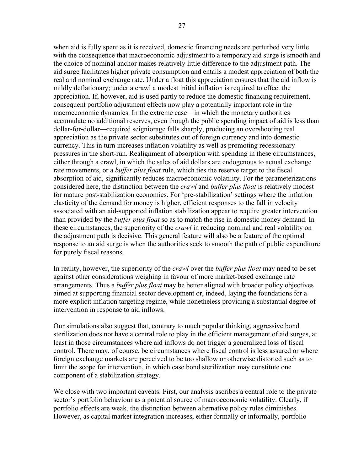when aid is fully spent as it is received, domestic financing needs are perturbed very little with the consequence that macroeconomic adjustment to a temporary aid surge is smooth and the choice of nominal anchor makes relatively little difference to the adjustment path. The aid surge facilitates higher private consumption and entails a modest appreciation of both the real and nominal exchange rate. Under a float this appreciation ensures that the aid inflow is mildly deflationary; under a crawl a modest initial inflation is required to effect the appreciation. If, however, aid is used partly to reduce the domestic financing requirement, consequent portfolio adjustment effects now play a potentially important role in the macroeconomic dynamics. In the extreme case—in which the monetary authorities accumulate no additional reserves, even though the public spending impact of aid is less than dollar-for-dollar—required seigniorage falls sharply, producing an overshooting real appreciation as the private sector substitutes out of foreign currency and into domestic currency. This in turn increases inflation volatility as well as promoting recessionary pressures in the short-run. Realignment of absorption with spending in these circumstances, either through a crawl, in which the sales of aid dollars are endogenous to actual exchange rate movements, or a *buffer plus float* rule, which ties the reserve target to the fiscal absorption of aid, significantly reduces macroeconomic volatility. For the parameterizations considered here, the distinction between the *crawl* and *buffer plus float* is relatively modest for mature post-stabilization economies. For 'pre-stabilization' settings where the inflation elasticity of the demand for money is higher, efficient responses to the fall in velocity associated with an aid-supported inflation stabilization appear to require greater intervention than provided by the *buffer plus float* so as to match the rise in domestic money demand. In these circumstances, the superiority of the *crawl* in reducing nominal and real volatility on the adjustment path is decisive. This general feature will also be a feature of the optimal response to an aid surge is when the authorities seek to smooth the path of public expenditure for purely fiscal reasons.

In reality, however, the superiority of the *crawl* over the *buffer plus float* may need to be set against other considerations weighing in favour of more market-based exchange rate arrangements. Thus a *buffer plus float* may be better aligned with broader policy objectives aimed at supporting financial sector development or, indeed, laying the foundations for a more explicit inflation targeting regime, while nonetheless providing a substantial degree of intervention in response to aid inflows.

Our simulations also suggest that, contrary to much popular thinking, aggressive bond sterilization does not have a central role to play in the efficient management of aid surges, at least in those circumstances where aid inflows do not trigger a generalized loss of fiscal control. There may, of course, be circumstances where fiscal control is less assured or where foreign exchange markets are perceived to be too shallow or otherwise distorted such as to limit the scope for intervention, in which case bond sterilization may constitute one component of a stabilization strategy.

We close with two important caveats. First, our analysis ascribes a central role to the private sector's portfolio behaviour as a potential source of macroeconomic volatility. Clearly, if portfolio effects are weak, the distinction between alternative policy rules diminishes. However, as capital market integration increases, either formally or informally, portfolio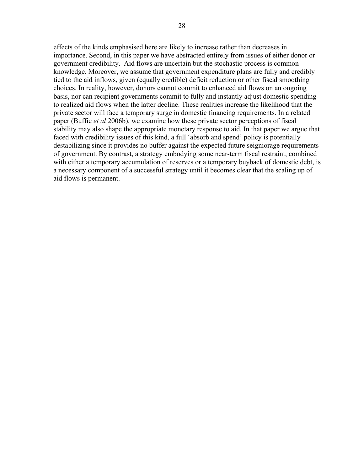effects of the kinds emphasised here are likely to increase rather than decreases in importance. Second, in this paper we have abstracted entirely from issues of either donor or government credibility. Aid flows are uncertain but the stochastic process is common knowledge. Moreover, we assume that government expenditure plans are fully and credibly tied to the aid inflows, given (equally credible) deficit reduction or other fiscal smoothing choices. In reality, however, donors cannot commit to enhanced aid flows on an ongoing basis, nor can recipient governments commit to fully and instantly adjust domestic spending to realized aid flows when the latter decline. These realities increase the likelihood that the private sector will face a temporary surge in domestic financing requirements. In a related paper (Buffie *et al* 2006b), we examine how these private sector perceptions of fiscal stability may also shape the appropriate monetary response to aid. In that paper we argue that faced with credibility issues of this kind, a full 'absorb and spend' policy is potentially destabilizing since it provides no buffer against the expected future seigniorage requirements of government. By contrast, a strategy embodying some near-term fiscal restraint, combined with either a temporary accumulation of reserves or a temporary buyback of domestic debt, is a necessary component of a successful strategy until it becomes clear that the scaling up of aid flows is permanent.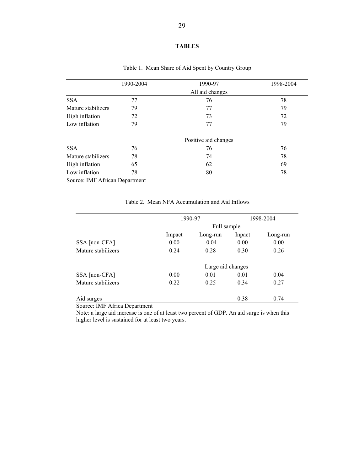#### **TABLES**

|                    | 1990-2004 | 1990-97              | 1998-2004 |
|--------------------|-----------|----------------------|-----------|
|                    |           | All aid changes      |           |
| <b>SSA</b>         | 77        | 76                   | 78        |
| Mature stabilizers | 79        | 77                   | 79        |
| High inflation     | 72        | 73                   | 72        |
| Low inflation      | 79        | 77                   | 79        |
|                    |           | Positive aid changes |           |
| <b>SSA</b>         | 76        | 76                   | 76        |
| Mature stabilizers | 78        | 74                   | 78        |
| High inflation     | 65        | 62                   | 69        |
| Low inflation      | 78        | 80                   | 78        |

# Table 1. Mean Share of Aid Spent by Country Group

Source: IMF African Department

|                    |        | 1990-97           |        | 1998-2004 |
|--------------------|--------|-------------------|--------|-----------|
|                    |        | Full sample       |        |           |
|                    | Impact | Long-run          | Inpact | Long-run  |
| SSA [non-CFA]      | 0.00   | $-0.04$           | 0.00   | 0.00      |
| Mature stabilizers | 0.24   | 0.28              | 0.30   | 0.26      |
|                    |        | Large aid changes |        |           |
| SSA [non-CFA]      | 0.00   | 0.01              | 0.01   | 0.04      |
| Mature stabilizers | 0.22   | 0.25              | 0.34   | 0.27      |
| Aid surges         |        |                   | 0.38   | 0.74      |

#### Table 2. Mean NFA Accumulation and Aid Inflows

Source: IMF Africa Department

Note: a large aid increase is one of at least two percent of GDP. An aid surge is when this higher level is sustained for at least two years.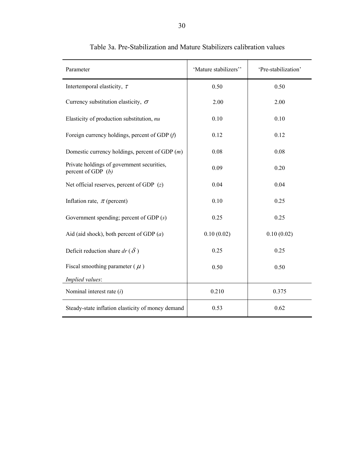| Parameter                                                          | 'Mature stabilizers'' | 'Pre-stabilization' |
|--------------------------------------------------------------------|-----------------------|---------------------|
| Intertemporal elasticity, $\tau$                                   | 0.50                  | 0.50                |
| Currency substitution elasticity, $\sigma$                         | 2.00                  | 2.00                |
| Elasticity of production substitution, nu                          | 0.10                  | 0.10                |
| Foreign currency holdings, percent of GDP $(f)$                    | 0.12                  | 0.12                |
| Domestic currency holdings, percent of GDP $(m)$                   | 0.08                  | 0.08                |
| Private holdings of government securities,<br>percent of GDP $(b)$ | 0.09                  | 0.20                |
| Net official reserves, percent of GDP $(z)$                        | 0.04                  | 0.04                |
| Inflation rate, $\pi$ (percent)                                    | 0.10                  | 0.25                |
| Government spending; percent of GDP $(s)$                          | 0.25                  | 0.25                |
| Aid (aid shock), both percent of GDP $(a)$                         | 0.10(0.02)            | 0.10(0.02)          |
| Deficit reduction share $dr(\delta)$                               | 0.25                  | 0.25                |
| Fiscal smoothing parameter ( $\mu$ )                               | 0.50                  | 0.50                |
| Implied values:                                                    |                       |                     |
| Nominal interest rate $(i)$                                        | 0.210                 | 0.375               |
| Steady-state inflation elasticity of money demand                  | 0.53                  | 0.62                |

# Table 3a. Pre-Stabilization and Mature Stabilizers calibration values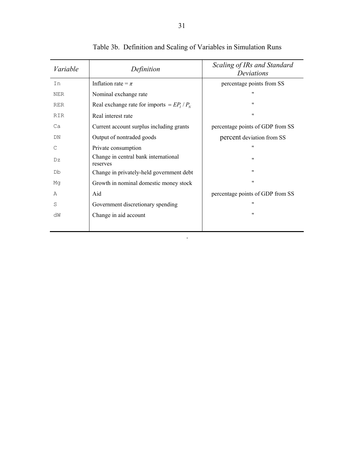| Variable   | Definition                                       | Scaling of IRs and Standard<br>Deviations |
|------------|--------------------------------------------------|-------------------------------------------|
| In         | Inflation rate = $\pi$                           | percentage points from SS                 |
| <b>NER</b> | Nominal exchange rate                            | $^{\prime\prime}$                         |
| <b>RER</b> | Real exchange rate for imports = $EP_1/P_N$      | 11                                        |
| <b>RIR</b> | Real interest rate                               | "                                         |
| Ca         | Current account surplus including grants         | percentage points of GDP from SS          |
| DN         | Output of nontraded goods                        | percent deviation from SS                 |
| C          | Private consumption                              | 11                                        |
| Dz         | Change in central bank international<br>reserves | "                                         |
| Db         | Change in privately-held government debt         | 11                                        |
| Mq         | Growth in nominal domestic money stock           | 11                                        |
| Α          | Aid                                              | percentage points of GDP from SS          |
| S          | Government discretionary spending                | 11                                        |
| dW         | Change in aid account                            | 11                                        |
|            |                                                  |                                           |

.

Table 3b.Definition and Scaling of Variables in Simulation Runs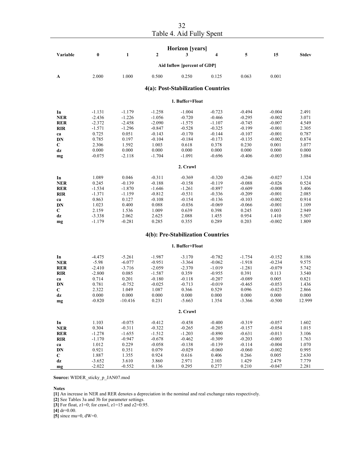| Table 4. Aid Fully Spent |
|--------------------------|

|                   |                |                |                   | <b>Horizon</b> [years]             |                      |                      |                      |                |
|-------------------|----------------|----------------|-------------------|------------------------------------|----------------------|----------------------|----------------------|----------------|
| Variable          | $\bf{0}$       | $\mathbf{1}$   | $\overline{2}$    | 3                                  | 4                    | 5                    | 15                   | <b>Stdev</b>   |
|                   |                |                |                   | Aid Inflow [percent of GDP]        |                      |                      |                      |                |
| A                 | 2.000          | 1.000          | 0.500             | 0.250                              | 0.125                | 0.063                | 0.001                |                |
|                   |                |                |                   | 4(a): Post-Stabilization Countries |                      |                      |                      |                |
|                   |                |                |                   | 1. Buffer+Float                    |                      |                      |                      |                |
| In                | $-1.131$       | $-1.179$       | $-1.258$          | $-1.004$                           | $-0.723$             | $-0.494$             | $-0.004$             | 2.491          |
| <b>NER</b>        | $-2.436$       | $-1.226$       | $-1.056$          | $-0.720$                           | $-0.466$             | $-0.295$             | $-0.002$             | 3.071          |
| <b>RER</b>        | $-2.372$       | $-2.458$       | $-2.090$          | $-1.575$                           | $-1.107$             | $-0.745$             | $-0.007$             | 4.549          |
| <b>RIR</b>        | $-1.571$       | $-1.296$       | $-0.847$          | $-0.528$                           | $-0.325$             | $-0.199$             | $-0.001$             | 2.305          |
| ca                | 0.725          | 0.051          | $-0.143$          | $-0.170$                           | $-0.144$             | $-0.107$             | $-0.001$             | 0.787          |
| DN                | 0.785          | 0.197          | $-0.104$          | $-0.184$                           | $-0.173$             | $-0.135$             | $-0.002$             | 0.874          |
| $\mathbf C$       | 2.306          | 1.592          | 1.003             | 0.618                              | 0.378                | 0.230                | 0.001                | 3.077          |
| dz                | 0.000          | 0.000          | 0.000             | 0.000                              | 0.000                | 0.000                | 0.000                | 0.000          |
| mg                | $-0.075$       | $-2.118$       | $-1.704$          | $-1.091$                           | $-0.696$             | $-0.406$             | $-0.003$             | 3.084          |
|                   |                |                |                   | 2. Crawl                           |                      |                      |                      |                |
| In                | 1.089          | 0.046          | $-0.311$          | $-0.369$                           | $-0.320$             | $-0.246$             | $-0.027$             | 1.324          |
| <b>NER</b>        | 0.245          | $-0.139$       | $-0.188$          | $-0.158$                           | $-0.119$             | $-0.088$             | $-0.026$             | 0.524          |
| <b>RER</b>        | $-1.534$       | $-1.870$       | $-1.646$          | $-1.261$                           | $-0.897$             | $-0.609$             | $-0.008$             | 3.406          |
| <b>RIR</b>        | $-1.371$       | $-1.159$       | $-0.812$          | $-0.531$                           | $-0.336$             | $-0.209$             | $-0.001$             | 2.085          |
| ca                | 0.863          | 0.127<br>0.400 | $-0.108$<br>0.088 | $-0.154$<br>$-0.036$               | $-0.136$<br>$-0.069$ | $-0.103$<br>$-0.066$ | $-0.002$<br>$-0.001$ | 0.914<br>1.109 |
| DN<br>C           | 1.023<br>2.159 | 1.536          | 1.009             | 0.639                              | 0.398                | 0.245                | 0.003                | 2.949          |
| dz                | $-3.338$       | 2.062          | 2.625             | 2.088                              | 1.455                | 0.954                | 1.410                | 5.507          |
| mg                | $-1.179$       | $-0.281$       | 0.285             | 0.355                              | 0.289                | 0.203                | $-0.002$             | 1.809          |
|                   |                |                |                   | 4(b): Pre-Stabilization Countries  |                      |                      |                      |                |
|                   |                |                |                   | 1. Buffer+Float                    |                      |                      |                      |                |
| In                | $-4.475$       | $-5.261$       | $-1.987$          | $-3.170$                           | $-0.782$             | $-1.754$             | $-0.152$             | 8.186          |
| <b>NER</b>        | $-5.98$        | $-6.077$       | $-0.951$          | $-3.364$                           | $-0.062$             | $-1.918$             | $-0.234$             | 9.575          |
| <b>RER</b>        | $-2.410$       | $-3.716$       | $-2.059$          | $-2.370$                           | $-1.019$             | $-1.281$             | $-0.079$             | 5.742          |
| <b>RIR</b>        | $-2.800$       | 0.085          | $-1.587$          | 0.359                              | $-0.955$             | 0.391                | 0.113                | 3.540          |
| ca                | 0.714          | 0.201          | $-0.180$          | $-0.118$                           | $-0.207$             | $-0.089$             | 0.005                | 0.821          |
| DN                | 0.781          | $-0.752$       | $-0.025$          | $-0.713$                           | $-0.019$             | $-0.465$             | $-0.053$             | 1.436          |
| $\mathbf C$       | 2.322          | 1.049          | 1.087             | 0.366                              | 0.529                | 0.096                | $-0.025$             | 2.866          |
| dz                | 0.000          | 0.000          | 0.000             | 0.000                              | 0.000                | 0.000                | 0.000                | 0.000          |
| mg                | $-0.820$       | $-10.416$      | 0.231             | $-5.663$                           | 1.354                | $-3.366$             | $-0.500$             | 12.999         |
|                   |                |                |                   | 2. Crawl                           |                      |                      |                      |                |
| In                | 1.103          | $-0.075$       | $-0.412$          | $-0.458$                           | $-0.400$             | $-0.319$             | $-0.057$             | 1.602          |
| <b>NER</b>        | 0.304          | $-0.311$       | $-0.322$          | $-0.265$                           | $-0.205$             | $-0.157$             | $-0.054$             | 1.015          |
| <b>RER</b>        | $-1.278$       | $-1.655$       | $-1.512$          | $-1.203$                           | $-0.890$             | $-0.631$             | $-0.013$             | 3.106          |
| <b>RIR</b>        | $-1.170$       | $-0.947$       | $-0.678$          | $-0.462$                           | $-0.309$             | $-0.203$             | $-0.003$             | 1.763          |
| ca                | 1.012          | 0.229          | $-0.058$          | $-0.138$                           | $-0.139$             | $-0.114$             | $-0.004$             | 1.070          |
| DN<br>$\mathbf C$ | 0.921<br>1.887 | 0.351<br>1.355 | 0.079<br>0.924    | $-0.029$<br>0.616                  | $-0.060$<br>0.406    | $-0.060$<br>0.266    | $-0.002$<br>0.005    | 0.995<br>2.630 |
| dz                | $-3.652$       | 3.610          | 3.860             | 2.971                              | 2.103                | 1.429                | 2.479                | 7.779          |
| mg                | $-2.022$       | $-0.552$       | 0.136             | 0.295                              | 0.277                | 0.210                | $-0.047$             | 2.281          |
|                   |                |                |                   |                                    |                      |                      |                      |                |

**Source:** WIDER\_sticky\_p\_JAN07.mod

**Notes** 

**[1]** An increase in NER and RER denotes a depreciation in the nominal and real exchange rates respectively.

**[2]** See Tables 3a and 3b for parameter settings.

**[3]** For float, z1=0; for crawl, z1=15 and z2=0.95.

**[4]** dr=0.00.

**[5]** since mu=0, dW=0.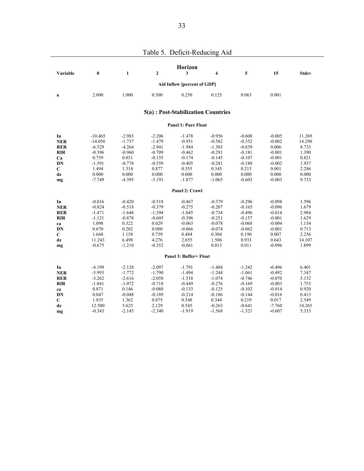|                          |                      |                      |                      | Horizon                             |                      |                      |                      |                |
|--------------------------|----------------------|----------------------|----------------------|-------------------------------------|----------------------|----------------------|----------------------|----------------|
| Variable                 | $\boldsymbol{0}$     | $\mathbf{1}$         | $\mathbf{2}$         | 3                                   | 4                    | 5                    | 15                   | <b>Stdev</b>   |
|                          |                      |                      |                      | Aid Inflow [percent of GDP]         |                      |                      |                      |                |
| a                        | 2.000                | 1.000                | 0.500                | 0.250                               | 0.125                | 0.063                | 0.001                |                |
|                          |                      |                      |                      | 5(a) : Post-Stabilization Countries |                      |                      |                      |                |
|                          |                      |                      |                      | <b>Panel 1: Pure Float</b>          |                      |                      |                      |                |
| In                       | $-10.465$            | $-2.983$             | $-2.206$             | $-1.478$                            | $-0.956$             | $-0.608$             | $-0.005$             | 11.269         |
| <b>NER</b>               | $-14.056$            | $-1.737$             | $-1.479$             | $-0.951$                            | $-0.582$             | $-0.352$             | $-0.002$             | 14.290         |
| <b>RER</b>               | $-6.529$             | $-4.264$             | $-2.941$             | $-1.984$                            | $-1.303$             | $-0.839$             | 0.006                | 8.733          |
| <b>RIR</b>               | $-0.396$             | $-0.960$             | $-0.709$             | $-0.462$                            | $-0.291$             | $-0.181$             | $-0.001$             | 1.390          |
| Ca                       | 0.759                | 0.031                | $-0.155$             | $-0.174$                            | $-0.145$             | $-0.107$             | $-0.001$             | 0.821          |
| DN                       | $-1.591$             | $-0.778$             | $-0.559$             | $-0.405$                            | $-0.281$             | $-0.188$             | $-0.002$             | 1.937          |
| C                        | 1.494                | 1.314                | 0.877                | 0.555                               | 0.345                | 0.213                | 0.001                | 2.286          |
| dz                       | 0.000                | 0.000                | 0.000                | 0.000                               | 0.000                | 0.000                | 0.000                | 0.000          |
| mg                       | $-7.749$             | $-4.395$             | $-3.191$             | $-1.877$                            | $-1.065$             | $-0.603$             | $-0.003$             | 9.733          |
|                          |                      |                      |                      | Panel 2: Crawl                      |                      |                      |                      |                |
| In                       | $-0.016$             | $-0.420$             | $-0.518$             | $-0.467$                            | $-0.379$             | $-0.296$             | $-0.098$             | 1.596          |
| <b>NER</b>               | $-0.824$             | $-0.518$             | $-0.379$             | $-0.275$                            | $-0.207$             | $-0.165$             | $-0.096$             | 1.679          |
| <b>RER</b>               | $-1.471$             | $-1.648$             | $-1.394$             | $-1.045$                            | $-0.734$             | $-0.496$             | $-0.014$             | 2.984          |
| <b>RIR</b>               | $-1.121$             | $-0.878$             | $-0.605$             | $-0.396$                            | $-0.251$             | $-0.157$             | $-0.001$             | 1.629          |
| ca                       | 1.098                | 0.322                | 0.029                | $-0.063$                            | $-0.078$             | $-0.068$             | $-0.004$             | 1.154          |
| DN                       | 0.670                | 0.202                | 0.000                | $-0.066$                            | $-0.074$             | $-0.062$             | $-0.001$             | 0.713          |
| C                        | 1.668                | 1.158                | 0.759                | 0.484                               | 0.304                | 0.190                | 0.007                | 2.256          |
| dz                       | 11.243               | 6.498                | 4.276                | 2.655                               | 1.506                | 0.933                | 0.643                | 14.107         |
| mg                       | $-0.675$             | $-1.210$             | $-0.352$             | $-0.061$                            | 0.013                | 0.011                | $-0.096$             | 1.899          |
|                          |                      |                      |                      | Panel 3: Buffer+ Float              |                      |                      |                      |                |
|                          |                      |                      |                      |                                     |                      |                      |                      |                |
| In                       | $-4.199$<br>$-5.993$ | $-2.128$<br>$-1.772$ | $-2.097$<br>$-1.790$ | $-1.791$<br>$-1.494$                | $-1.488$<br>$-1.244$ | $-1.242$<br>$-1.061$ | $-0.496$<br>$-0.492$ | 6.401<br>7.347 |
| <b>NER</b><br><b>RER</b> | $-3.262$             | $-2.616$             | $-2.058$             | $-1.518$                            | $-1.074$             | $-0.746$             | $-0.070$             | 5.132          |
| <b>RIR</b>               | $-1.041$             | $-1.072$             | $-0.718$             | $-0.449$                            | $-0.276$             | $-0.169$             | $-0.003$             | 1.753          |
| ca                       | 0.871                | 0.146                | $-0.080$             | $-0.133$                            | $-0.125$             | $-0.102$             | $-0.014$             | 0.920          |
| DN                       | 0.047                | $-0.048$             | $-0.189$             | $-0.214$                            | $-0.186$             | $-0.144$             | $-0.016$             | 0.413          |
| C                        | 1.835                | 1.362                | 0.875                | 0.548                               | 0.344                | 0.219                | 0.017                | 2.549          |
| dz                       | 12.500               | 5.625                | 2.129                | 0.545                               | $-0.263$             | $-0.641$             | $-7.760$             | 14.265         |
| mg                       | $-0.343$             | $-2.145$             | $-2.340$             | $-1.919$                            | $-1.568$             | $-1.321$             | $-0.607$             | 5.333          |
|                          |                      |                      |                      |                                     |                      |                      |                      |                |

Table 5. Deficit-Reducing Aid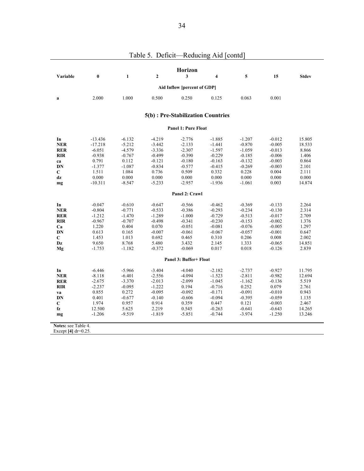|                       |           |              |                | Horizon                            |                         |          |          |              |
|-----------------------|-----------|--------------|----------------|------------------------------------|-------------------------|----------|----------|--------------|
| Variable              | $\bf{0}$  | $\mathbf{1}$ | $\overline{2}$ | 3                                  | $\overline{\mathbf{4}}$ | 5        | 15       | <b>Stdev</b> |
|                       |           |              |                | Aid Inflow [percent of GDP]        |                         |          |          |              |
| a                     | 2.000     | 1.000        | 0.500          | 0.250                              | 0.125                   | 0.063    | 0.001    |              |
|                       |           |              |                | 5(b) : Pre-Stabilization Countries |                         |          |          |              |
|                       |           |              |                | <b>Panel 1: Pure Float</b>         |                         |          |          |              |
| In                    | $-13.436$ | $-6.132$     | $-4.219$       | $-2.776$                           | $-1.885$                | $-1.207$ | $-0.012$ | 15.805       |
| <b>NER</b>            | $-17.218$ | $-5.212$     | $-3.442$       | $-2.133$                           | $-1.441$                | $-0.870$ | $-0.005$ | 18.533       |
| <b>RER</b>            | $-6.051$  | $-4.579$     | $-3.336$       | $-2.307$                           | $-1.597$                | $-1.059$ | $-0.013$ | 8.866        |
| <b>RIR</b>            | $-0.938$  | $-0.767$     | $-0.499$       | $-0.390$                           | $-0.229$                | $-0.185$ | $-0.006$ | 1.406        |
| ca                    | 0.791     | 0.112        | $-0.121$       | $-0.180$                           | $-0.163$                | $-0.132$ | $-0.003$ | 0.864        |
| DN                    | $-1.377$  | $-1.087$     | $-0.834$       | $-0.577$                           | $-0.415$                | $-0.269$ | $-0.003$ | 2.101        |
| C                     | 1.511     | 1.084        | 0.736          | 0.509                              | 0.332                   | 0.228    | 0.004    | 2.111        |
| dz                    | 0.000     | 0.000        | 0.000          | 0.000                              | 0.000                   | 0.000    | 0.000    | 0.000        |
| mg                    | $-10.311$ | $-8.547$     | $-5.233$       | $-2.957$                           | $-1.936$                | $-1.061$ | 0.003    | 14.874       |
|                       |           |              |                | Panel 2: Crawl                     |                         |          |          |              |
| In                    | $-0.047$  | $-0.610$     | $-0.647$       | $-0.566$                           | $-0.462$                | $-0.369$ | $-0.133$ | 2.264        |
| <b>NER</b>            | $-0.804$  | $-0.771$     | $-0.533$       | $-0.386$                           | $-0.293$                | $-0.234$ | $-0.130$ | 2.314        |
| <b>RER</b>            | $-1.212$  | $-1.470$     | $-1.289$       | $-1.000$                           | $-0.729$                | $-0.513$ | $-0.017$ | 2.709        |
| <b>RIR</b>            | $-0.967$  | $-0.707$     | $-0.498$       | $-0.341$                           | $-0.230$                | $-0.153$ | $-0.002$ | 1.376        |
| Ca                    | 1.220     | 0.404        | 0.070          | $-0.051$                           | $-0.081$                | $-0.076$ | $-0.005$ | 1.297        |
| DN                    | 0.613     | 0.165        | $-0.007$       | $-0.061$                           | $-0.067$                | $-0.057$ | $-0.001$ | 0.647        |
| C                     | 1.453     | 1.013        | 0.692          | 0.465                              | 0.310                   | 0.206    | 0.008    | 2.002        |
| Dz                    | 9.650     | 8.768        | 5.480          | 3.432                              | 2.145                   | 1.333    | $-0.065$ | 14.851       |
| Mg                    | $-1.753$  | $-1.182$     | $-0.372$       | $-0.069$                           | 0.017                   | 0.018    | $-0.126$ | 2.839        |
|                       |           |              |                | Panel 3: Buffer+ Float             |                         |          |          |              |
| In                    | $-6.446$  | $-5.966$     | $-3.404$       | $-4.040$                           | $-2.182$                | $-2.737$ | $-0.927$ | 11.795       |
| <b>NER</b>            | $-8.118$  | $-6.401$     | $-2.556$       | $-4.094$                           | $-1.523$                | $-2.811$ | $-0.982$ | 12.694       |
| <b>RER</b>            | $-2.675$  | $-3.370$     | $-2.013$       | $-2.099$                           | $-1.045$                | $-1.162$ | $-0.136$ | 5.519        |
| <b>RIR</b>            | $-2.237$  | $-0.095$     | $-1.222$       | 0.194                              | $-0.716$                | 0.252    | 0.079    | 2.761        |
| va                    | 0.855     | 0.272        | $-0.095$       | $-0.092$                           | $-0.171$                | $-0.091$ | $-0.010$ | 0.943        |
| DN                    | 0.401     | $-0.677$     | $-0.140$       | $-0.606$                           | $-0.094$                | $-0.395$ | $-0.059$ | 1.135        |
| C                     | 1.974     | 0.957        | 0.914          | 0.359                              | 0.447                   | 0.121    | $-0.003$ | 2.467        |
| fz                    | 12.500    | 5.625        | 2.219          | 0.545                              | $-0.263$                | $-0.641$ | $-0.643$ | 14.265       |
| mg                    | $-1.206$  | $-9.519$     | $-1.819$       | $-5.851$                           | $-0.744$                | $-3.974$ | $-1.250$ | 13.246       |
| Notes: see Table 4.   |           |              |                |                                    |                         |          |          |              |
| Except $[4]$ dr=0.25. |           |              |                |                                    |                         |          |          |              |
|                       |           |              |                |                                    |                         |          |          |              |

# Table 5. Deficit—Reducing Aid [contd]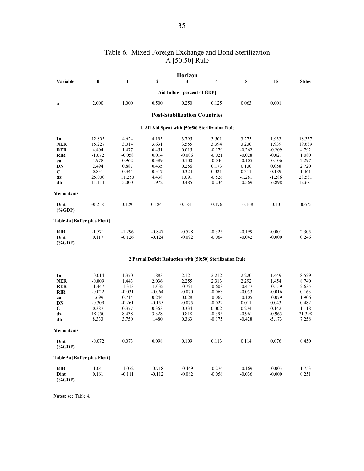|                                                     |                  |              |              | <b>Horizon</b>                                              |          |          |          |              |
|-----------------------------------------------------|------------------|--------------|--------------|-------------------------------------------------------------|----------|----------|----------|--------------|
| Variable                                            | $\boldsymbol{0}$ | $\mathbf{1}$ | $\mathbf{2}$ | 3                                                           | 4        | 5        | 15       | <b>Stdev</b> |
|                                                     |                  |              |              | Aid Inflow [percent of GDP]                                 |          |          |          |              |
| a                                                   | 2.000            | 1.000        | 0.500        | 0.250                                                       | 0.125    | 0.063    | 0.001    |              |
|                                                     |                  |              |              | <b>Post-Stabilization Countries</b>                         |          |          |          |              |
|                                                     |                  |              |              | 1. All Aid Spent with [50:50] Sterilization Rule            |          |          |          |              |
| In                                                  | 12.805           | 4.624        | 4.195        | 3.795                                                       | 3.501    | 3.275    | 1.933    | 18.357       |
| <b>NER</b>                                          | 15.227           | 3.014        | 3.631        | 3.555                                                       | 3.394    | 3.230    | 1.939    | 19.639       |
| <b>RER</b>                                          | 4.404            | 1.477        | 0.451        | 0.015                                                       | $-0.179$ | $-0.262$ | $-0.209$ | 4.792        |
| <b>RIR</b>                                          | $-1.072$         | $-0.058$     | 0.014        | $-0.006$                                                    | $-0.021$ | $-0.028$ | $-0.021$ | 1.080        |
| ca                                                  | 1.978            | 0.962        | 0.389        | 0.100                                                       | $-0.040$ | $-0.105$ | $-0.106$ | 2.297        |
| DN                                                  | 2.494            | 0.887        | 0.435        | 0.256                                                       | 0.173    | 0.130    | 0.058    | 2.720        |
| C                                                   | 0.831            | 0.344        | 0.317        | 0.324                                                       | 0.321    | 0.311    | 0.189    | 1.461        |
| dz                                                  | 25.000           | 11.250       | 4.438        | 1.091                                                       | $-0.526$ | $-1.281$ | $-1.286$ | 28.531       |
| db                                                  | 11.111           | 5.000        | 1.972        | 0.485                                                       | $-0.234$ | $-0.569$ | $-6.898$ | 12.681       |
| Memo items                                          |                  |              |              |                                                             |          |          |          |              |
| Dint<br>$(% \mathbf{C}^{\prime }\mathbf{A})$ (%GDP) | $-0.218$         | 0.129        | 0.184        | 0.184                                                       | 0.176    | 0.168    | 0.101    | 0.675        |
| Table 4a [Buffer plus Float]                        |                  |              |              |                                                             |          |          |          |              |
| <b>RIR</b>                                          | $-1.571$         | $-1.296$     | $-0.847$     | $-0.528$                                                    | $-0.325$ | $-0.199$ | $-0.001$ | 2.305        |
| Dint<br>$(% \mathbf{C} )$ (%GDP)                    | 0.117            | $-0.126$     | $-0.124$     | $-0.092$                                                    | $-0.064$ | $-0.042$ | $-0.000$ | 0.246        |
|                                                     |                  |              |              | 2 Partial Deficit Reduction with [50:50] Sterilization Rule |          |          |          |              |
| In                                                  | $-0.014$         | 1.370        | 1.883        |                                                             | 2.212    | 2.220    | 1.449    | 8.529        |
|                                                     | $-0.809$         | 1.443        | 2.036        | 2.121<br>2.255                                              | 2.313    | 2.292    | 1.454    | 8.740        |
| <b>NER</b><br><b>RER</b>                            | $-1.447$         | $-1.313$     | $-1.035$     | $-0.791$                                                    | $-0.608$ | $-0.477$ | $-0.159$ | 2.635        |
| <b>RIR</b>                                          | $-0.022$         | $-0.031$     | $-0.064$     | $-0.070$                                                    | $-0.063$ | $-0.053$ | $-0.016$ | 0.163        |
| ca                                                  | 1.699            | 0.714        | 0.244        | 0.028                                                       | $-0.067$ | $-0.105$ | $-0.079$ | 1.906        |
| DN                                                  | $-0.309$         | $-0.261$     | $-0.155$     | $-0.075$                                                    | $-0.022$ | 0.011    | 0.043    | 0.482        |
| C                                                   | 0.387            | 0.377        | 0.363        | 0.334                                                       | 0.302    | 0.274    | 0.142    | 1.118        |
| dz                                                  | 18.750           | 8.438        | 3.328        | 0.818                                                       | $-0.395$ | $-0.961$ | $-0.965$ | 21.398       |
| db                                                  | 8.333            | 3.750        | 1.480        | 0.363                                                       | $-0.175$ | $-0.428$ | $-5.173$ | 7.258        |
| Memo items                                          |                  |              |              |                                                             |          |          |          |              |
| Dint<br>$(*GDP)$                                    | $-0.072$         | 0.073        | 0.098        | 0.109                                                       | 0.113    | 0.114    | 0.076    | 0.450        |
| Table 5a [Buffer plus Float]                        |                  |              |              |                                                             |          |          |          |              |
| <b>RIR</b>                                          | $-1.041$         | $-1.072$     | $-0.718$     | $-0.449$                                                    | $-0.276$ | $-0.169$ | $-0.003$ | 1.753        |
| Dint<br>$(% \mathbf{C} )$ (%GDP)                    | 0.161            | $-0.111$     | $-0.112$     | $-0.082$                                                    | $-0.056$ | $-0.036$ | $-0.000$ | 0.251        |

## Table 6. Mixed Foreign Exchange and Bond Sterilization A [50:50] Rule

**Notes:** see Table 4.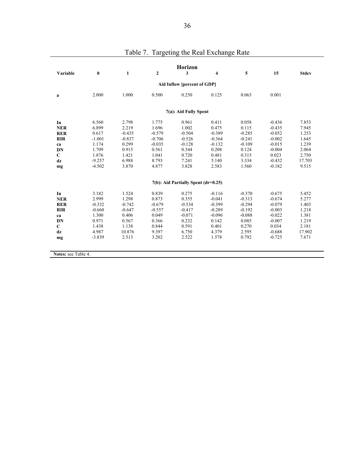| Variable    | $\bf{0}$ | $\mathbf{1}$ | $\boldsymbol{2}$ | <b>Horizon</b><br>3                 | 4        | 5        | 15       | <b>Stdev</b> |
|-------------|----------|--------------|------------------|-------------------------------------|----------|----------|----------|--------------|
|             |          |              |                  |                                     |          |          |          |              |
|             |          |              |                  | Aid Inflow [percent of GDP]         |          |          |          |              |
| a           | 2.000    | 1.000        | 0.500            | 0.250                               | 0.125    | 0.063    | 0.001    |              |
|             |          |              |                  | 7(a): Aid Fully Spent               |          |          |          |              |
| In          | 6.560    | 2.798        | 1.775            | 0.961                               | 0.411    | 0.058    | $-0.436$ | 7.853        |
| <b>NER</b>  | 6.899    | 2.219        | 1.696            | 1.002                               | 0.475    | 0.115    | $-0.435$ | 7.945        |
| <b>RER</b>  | 0.617    | $-0.435$     | $-0.579$         | $-0.504$                            | $-0.389$ | $-0.285$ | $-0.052$ | 1.253        |
| <b>RIR</b>  | $-1.001$ | $-0.837$     | $-0.706$         | $-0.526$                            | $-0.364$ | $-0.241$ | $-0.002$ | 1.645        |
| ca          | 1.174    | 0.299        | $-0.035$         | $-0.128$                            | $-0.132$ | $-0.109$ | $-0.015$ | 1.239        |
| DN          | 1.709    | 0.915        | 0.561            | 0.344                               | 0.208    | 0.124    | $-0.004$ | 2.064        |
| $\mathbf C$ | 1.876    | 1.421        | 1.041            | 0.720                               | 0.481    | 0.315    | 0.023    | 2.750        |
| dz          | $-9.257$ | 6.988        | 8.793            | 7.241                               | 5.140    | 3.334    | $-0.432$ | 17.703       |
| mg          | $-4.502$ | 3.870        | 4.877            | 3.828                               | 2.583    | 1.560    | $-0.182$ | 9.515        |
|             |          |              |                  | 7(b): Aid Partially Spent (dr=0.25) |          |          |          |              |
| In          | 3.182    | 1.524        | 0.839            | 0.275                               | $-0.116$ | $-0.370$ | $-0.675$ | 5.452        |
| <b>NER</b>  | 2.999    | 1.298        | 0.873            | 0.355                               | $-0.041$ | $-0.313$ | $-0.674$ | 5.277        |
| <b>RER</b>  | $-0.332$ | $-0.742$     | $-0.679$         | $-0.534$                            | $-0.399$ | $-0.294$ | $-0.079$ | 1.403        |
| <b>RIR</b>  | $-0.660$ | $-0.647$     | $-0.557$         | $-0.417$                            | $-0.289$ | $-0.192$ | $-0.003$ | 1.218        |
| ca          | 1.300    | 0.406        | 0.049            | $-0.071$                            | $-0.096$ | $-0.088$ | $-0.022$ | 1.381        |
| <b>DN</b>   | 0.971    | 0.567        | 0.366            | 0.232                               | 0.142    | 0.085    | $-0.007$ | 1.219        |
| $\mathbf C$ | 1.438    | 1.138        | 0.844            | 0.591                               | 0.401    | 0.270    | 0.034    | 2.181        |
| dz          | 4.987    | 10.876       | 9.397            | 6.750                               | 4.379    | 2.595    | $-0.688$ | 17.902       |
|             | $-3.839$ | 2.513        | 3.202            | 2.522                               | 1.578    | 0.792    | $-0.725$ | 7.671        |

|  | Table 7. Targeting the Real Exchange Rate |
|--|-------------------------------------------|
|  |                                           |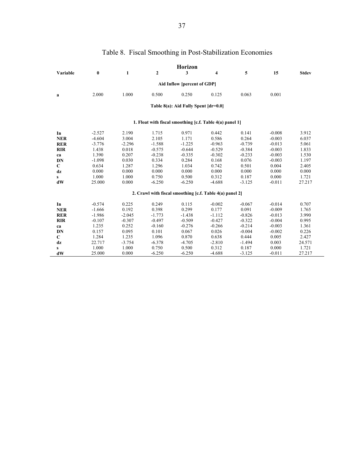|              |          |              |              | <b>Horizon</b>                       |                                                          |          |          |              |
|--------------|----------|--------------|--------------|--------------------------------------|----------------------------------------------------------|----------|----------|--------------|
| Variable     | $\bf{0}$ | $\mathbf{1}$ | $\mathbf{2}$ | 3                                    | 4                                                        | 5        | 15       | <b>Stdev</b> |
|              |          |              |              | Aid Inflow [percent of GDP]          |                                                          |          |          |              |
| a            | 2.000    | 1.000        | 0.500        | 0.250                                | 0.125                                                    | 0.063    | 0.001    |              |
|              |          |              |              | Table 8(a): Aid Fully Spent [dr=0.0] |                                                          |          |          |              |
|              |          |              |              |                                      | 1. Float with fiscal smoothing [c.f. Table 4(a) panel 1] |          |          |              |
| In           | $-2.527$ | 2.190        | 1.715        | 0.971                                | 0.442                                                    | 0.141    | $-0.008$ | 3.912        |
| <b>NER</b>   | $-4.604$ | 3.004        | 2.105        | 1.171                                | 0.586                                                    | 0.264    | $-0.003$ | 6.037        |
| <b>RER</b>   | $-3.776$ | $-2.296$     | $-1.588$     | $-1.225$                             | $-0.963$                                                 | $-0.739$ | $-0.013$ | 5.061        |
| <b>RIR</b>   | 1.438    | 0.018        | $-0.575$     | $-0.644$                             | $-0.529$                                                 | $-0.384$ | $-0.003$ | 1.833        |
| ca           | 1.390    | 0.207        | $-0.238$     | $-0.335$                             | $-0.302$                                                 | $-0.233$ | $-0.003$ | 1.530        |
| DN           | $-1.098$ | 0.030        | 0.334        | 0.284                                | 0.168                                                    | 0.076    | $-0.003$ | 1.197        |
| $\mathbf C$  | 0.634    | 1.287        | 1.296        | 1.034                                | 0.742                                                    | 0.501    | 0.004    | 2.405        |
| dz           | 0.000    | 0.000        | 0.000        | 0.000                                | 0.000                                                    | 0.000    | 0.000    | 0.000        |
| $\mathbf{s}$ | 1.000    | 1.000        | 0.750        | 0.500                                | 0.312                                                    | 0.187    | 0.000    | 1.721        |
| dW           | 25.000   | 0.000        | $-6.250$     | $-6.250$                             | $-4.688$                                                 | $-3.125$ | $-0.011$ | 27.217       |
|              |          |              |              |                                      | 2. Crawl with fiscal smoothing [c.f. Table 4(a) panel 2] |          |          |              |
| In           | $-0.574$ | 0.225        | 0.249        | 0.115                                | $-0.002$                                                 | $-0.067$ | $-0.014$ | 0.707        |
| <b>NER</b>   | $-1.666$ | 0.192        | 0.398        | 0.299                                | 0.177                                                    | 0.091    | $-0.009$ | 1.765        |
| <b>RER</b>   | $-1.986$ | $-2.045$     | $-1.773$     | $-1.438$                             | $-1.112$                                                 | $-0.826$ | $-0.013$ | 3.990        |
| <b>RIR</b>   | $-0.107$ | $-0.307$     | $-0.497$     | $-0.509$                             | $-0.427$                                                 | $-0.322$ | $-0.004$ | 0.995        |
| ca           | 1.235    | 0.252        | $-0.160$     | $-0.276$                             | $-0.266$                                                 | $-0.214$ | $-0.003$ | 1.361        |
| DN           | 0.157    | 0.095        | 0.101        | 0.067                                | 0.026                                                    | $-0.004$ | $-0.002$ | 0.226        |
| $\mathbf C$  | 1.284    | 1.235        | 1.096        | 0.870                                | 0.638                                                    | 0.444    | 0.005    | 2.427        |
| dz           | 22.717   | $-3.754$     | $-6.378$     | $-4.705$                             | $-2.810$                                                 | $-1.494$ | 0.003    | 24.571       |
| S            | 1.000    | 1.000        | 0.750        | 0.500                                | 0.312                                                    | 0.187    | 0.000    | 1.721        |
| dW           | 25.000   | 0.000        | $-6.250$     | $-6.250$                             | $-4.688$                                                 | $-3.125$ | $-0.011$ | 27.217       |

# Table 8. Fiscal Smoothing in Post-Stabilization Economies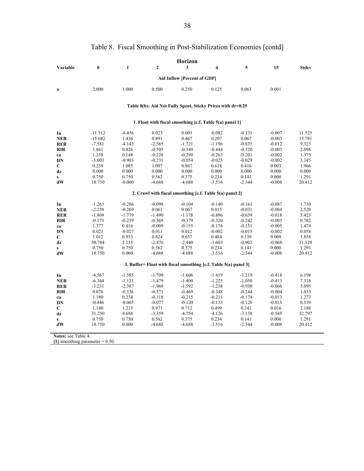|                                                                  | Horizon         |                |                   |                   |                                                             |                   |                   |                 |
|------------------------------------------------------------------|-----------------|----------------|-------------------|-------------------|-------------------------------------------------------------|-------------------|-------------------|-----------------|
| Variable                                                         | $\bf{0}$        | $\mathbf{1}$   | $\mathbf{2}$      | 3                 | $\overline{4}$                                              | 5                 | 15                | <b>Stdev</b>    |
| Aid Inflow [Percent of GDP]                                      |                 |                |                   |                   |                                                             |                   |                   |                 |
|                                                                  |                 |                |                   |                   |                                                             |                   |                   |                 |
| $\bf{a}$                                                         | 2.000           | 1.000          | 0.500             | 0.250             | 0.125                                                       | 0.063             | 0.001             |                 |
|                                                                  |                 |                |                   |                   | Table 8(b): Aid Not Fully Spent, Sticky Prices with dr=0.25 |                   |                   |                 |
|                                                                  |                 |                |                   |                   |                                                             |                   |                   |                 |
|                                                                  |                 |                |                   |                   | 1. Float with fiscal smoothing [c.f. Table 5(a) panel 1]    |                   |                   |                 |
| In                                                               | $-11.512$       | $-0.456$       | 0.023             | 0.003             | $-0.082$                                                    | $-0.131$          | $-0.007$          | 11.525          |
| <b>NER</b>                                                       | $-15.682$       | 1.436          | 0.891             | 0.467             | 0.207                                                       | 0.067             | $-0.003$          | 15.781          |
| <b>RER</b>                                                       | $-7.581$        | $-4.143$       | $-2.565$          | $-1.721$          | $-1.196$                                                    | $-0.835$          | $-0.012$          | 9.323           |
| <b>RIR</b>                                                       | 1.861           | 0.026          | $-0.505$          | $-0.549$          | $-0.444$                                                    | $-0.320$          | $-0.003$          | 2.098           |
| ca                                                               | 1.258           | 0.148          | $-0.226$          | $-0.299$          | $-0.263$                                                    | $-0.201$          | $-0.002$          | 1.375           |
| DN                                                               | $-3.003$        | $-0.903$       | $-0.231$          | $-0.054$          | $-0.025$                                                    | $-0.029$          | $-0.002$          | 3.145           |
| C                                                                | 0.239           | 1.085          | 1.097             | 0.867             | 0.618                                                       | 0.416             | 0.003             | 1.966           |
| dz                                                               | 0.000           | 0.000          | 0.000             | 0.000             | 0.000                                                       | 0.000             | 0.000             | 0.000           |
| $\mathbf{s}$                                                     | 0.750           | 0.750          | 0.562             | 0.375             | 0.234                                                       | 0.141             | 0.000             | 1.291           |
| dW                                                               | 18.750          | $-0.000$       | $-4.688$          | $-4.688$          | $-3.516$                                                    | $-2.344$          | $-0.008$          | 20.412          |
|                                                                  |                 |                |                   |                   | 2. Crawl with fiscal smoothing [c.f. Table 5(a) panel 2]    |                   |                   |                 |
| In                                                               | $-1.263$        | $-0.286$       | $-0.098$          | $-0.104$          | $-0.140$                                                    | $-0.161$          | $-0.087$          | 1.730           |
| <b>NER</b>                                                       | $-2.258$        | $-0.269$       | 0.061             | 0.067             | 0.015                                                       | $-0.031$          | $-0.084$          | 2.520           |
| <b>RER</b>                                                       | $-1.809$        | $-1.779$       | $-1.490$          | $-1.178$          | $-0.896$                                                    | $-0.659$          | $-0.018$          | 3.423           |
| <b>RIR</b>                                                       | $-0.173$        | $-0.239$       | $-0.369$          | $-0.379$          | $-0.320$                                                    | $-0.242$          | $-0.003$          | 0.762           |
| ca                                                               | 1.377           | 0.416          | $-0.009$          | $-0.155$          | $-0.176$                                                    | $-0.151$          | $-0.005$          | 1.474           |
| DN                                                               | 0.021           | $-0.027$       | 0.011             | 0.012             | $-0.002$                                                    | $-0.015$          | $-0.002$          | 0.058           |
| С                                                                | 1.012           | 0.933          | 0.824             | 0.657             | 0.484                                                       | 0.339             | 0.008             | 1.858           |
| dz                                                               | 30.784          | 2.135          | $-2.476$          | $-2.440$          | $-1.603$                                                    | $-0.902$          | $-0.068$          | 31.128          |
| $\mathbf{s}$                                                     | 0.750           | 0.750          | 0.562             | 0.375             | 0.234                                                       | 0.141             | 0.000             | 1.291           |
| dW                                                               | 18.750          | 0.000          | $-4.688$          | $-4.688$          | $-3.516$                                                    | $-2.344$          | $-0.008$          | 20.412          |
| 3. Buffer+ Float with fiscal smoothing [c.f. Table 5(a) panel 3] |                 |                |                   |                   |                                                             |                   |                   |                 |
|                                                                  |                 |                |                   |                   |                                                             |                   |                   |                 |
| In                                                               | $-4.567$        | $-1.585$       | $-1.709$          | $-1.606$          | $-1.419$                                                    | $-1.219$          | $-0.418$          | 6.198           |
| <b>NER</b>                                                       | $-6.344$        | $-1.121$       | $-1.479$          | $-1.400$          | $-1.225$                                                    | $-1.050$          | $-0.413$          | 7.318           |
| <b>RER</b>                                                       | $-3.231$        | $-2.387$       | $-1.968$          | $-1.592$          | $-1.238$                                                    | $-0.930$          | $-0.066$          | 5.095           |
| <b>RIR</b>                                                       | 0.076           | $-0.536$       | $-0.571$          | $-0.469$          | $-0.348$                                                    | $-0.244$          | $-0.004$          | 1.033           |
| ca                                                               | 1.180           | 0.234          | $-0.118$          | $-0.215$          | $-0.211$                                                    | $-0.174$          | $-0.013$          | 1.273           |
| <b>DN</b>                                                        | $-0.446$        | $-0.065$       | $-0.077$          | $-0.120$          | $-0.135$                                                    | $-0.128$          | $-0.015$          | 0.539           |
| C                                                                | 1.180           | 1.215          | 0.971             | 0.712             | 0.499                                                       | 0.341             | 0.016             | 2.188           |
| dz                                                               | 31.250          | 4.688          | $-3.359$          | $-4.754$          | $-4.126$                                                    | $-3.138$          | $-0.545$          | 32.797          |
| $\mathbf{s}$<br>dW                                               | 0.750<br>18.750 | 0.750<br>0.000 | 0.562<br>$-4.688$ | 0.375<br>$-4.688$ | 0.234<br>$-3.516$                                           | 0.141<br>$-2.344$ | 0.000<br>$-0.008$ | 1.291<br>20.412 |
|                                                                  |                 |                |                   |                   |                                                             |                   |                   |                 |
| <b>Notes: see Table 4.</b>                                       |                 |                |                   |                   |                                                             |                   |                   |                 |

# Table 8. Fiscal Smoothing in Post-Stabilization Economies [contd]

**[1]** smoothing parameter = 0.50.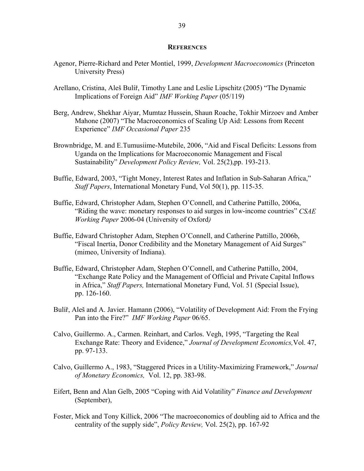#### **REFERENCES**

- Agenor, Pierre-Richard and Peter Montiel, 1999, *Development Macroeconomics* (Princeton University Press)
- Arellano, Cristina, Aleš Bulíř, Timothy Lane and Leslie Lipschitz (2005) "The Dynamic Implications of Foreign Aid" *IMF Working Paper* (05/119)
- Berg, Andrew, Shekhar Aiyar, Mumtaz Hussein, Shaun Roache, Tokhir Mirzoev and Amber Mahone (2007) "The Macroeconomics of Scaling Up Aid: Lessons from Recent Experience" *IMF Occasional Paper* 235
- Brownbridge, M. and E.Tumusiime-Mutebile, 2006, "Aid and Fiscal Deficits: Lessons from Uganda on the Implications for Macroeconomic Management and Fiscal Sustainability" *Development Policy Review,* Vol. 25(2),pp. 193-213.
- Buffie, Edward, 2003, "Tight Money, Interest Rates and Inflation in Sub-Saharan Africa," *Staff Papers*, International Monetary Fund, Vol 50(1), pp. 115-35.
- Buffie, Edward, Christopher Adam, Stephen O'Connell, and Catherine Pattillo, 2006a, "Riding the wave: monetary responses to aid surges in low-income countries" *CSAE Working Paper* 2006-04 (University of Oxford*)*
- Buffie, Edward Christopher Adam, Stephen O'Connell, and Catherine Pattillo, 2006b, "Fiscal Inertia, Donor Credibility and the Monetary Management of Aid Surges" (mimeo, University of Indiana).
- Buffie, Edward, Christopher Adam, Stephen O'Connell, and Catherine Pattillo, 2004, "Exchange Rate Policy and the Management of Official and Private Capital Inflows in Africa," *Staff Papers,* International Monetary Fund, Vol. 51 (Special Issue), pp. 126-160.
- Bulíř, Aleš and A. Javier. Hamann (2006), "Volatility of Development Aid: From the Frying Pan into the Fire?" *IMF Working Paper* 06/65.
- Calvo, Guillermo. A., Carmen. Reinhart, and Carlos. Vegh, 1995, "Targeting the Real Exchange Rate: Theory and Evidence," *Journal of Development Economics,*Vol. 47, pp. 97-133.
- Calvo, Guillermo A., 1983, "Staggered Prices in a Utility-Maximizing Framework," *Journal of Monetary Economics,* Vol. 12, pp. 383-98.
- Eifert, Benn and Alan Gelb, 2005 "Coping with Aid Volatility" *Finance and Development*  (September),
- Foster, Mick and Tony Killick, 2006 "The macroeconomics of doubling aid to Africa and the centrality of the supply side", *Policy Review,* Vol. 25(2), pp. 167-92